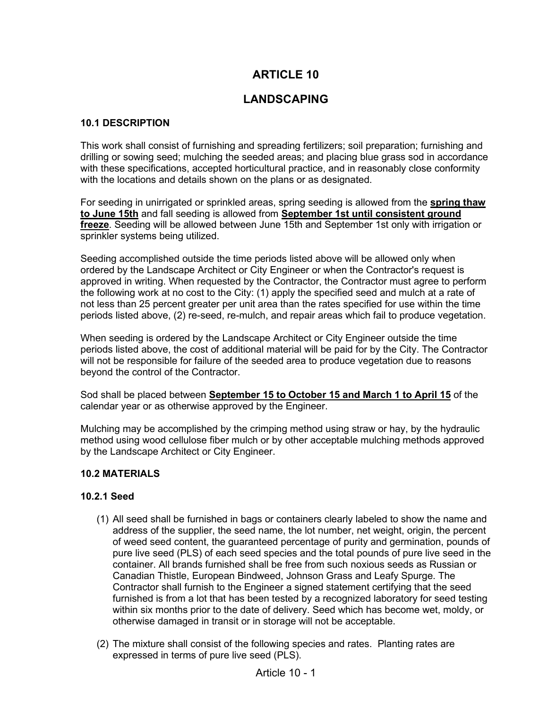# **ARTICLE 10**

# **LANDSCAPING**

#### **10.1 DESCRIPTION**

This work shall consist of furnishing and spreading fertilizers; soil preparation; furnishing and drilling or sowing seed; mulching the seeded areas; and placing blue grass sod in accordance with these specifications, accepted horticultural practice, and in reasonably close conformity with the locations and details shown on the plans or as designated.

For seeding in unirrigated or sprinkled areas, spring seeding is allowed from the **spring thaw to June 15th** and fall seeding is allowed from **September 1st until consistent ground freeze**. Seeding will be allowed between June 15th and September 1st only with irrigation or sprinkler systems being utilized.

Seeding accomplished outside the time periods listed above will be allowed only when ordered by the Landscape Architect or City Engineer or when the Contractor's request is approved in writing. When requested by the Contractor, the Contractor must agree to perform the following work at no cost to the City: (1) apply the specified seed and mulch at a rate of not less than 25 percent greater per unit area than the rates specified for use within the time periods listed above, (2) re-seed, re-mulch, and repair areas which fail to produce vegetation.

When seeding is ordered by the Landscape Architect or City Engineer outside the time periods listed above, the cost of additional material will be paid for by the City. The Contractor will not be responsible for failure of the seeded area to produce vegetation due to reasons beyond the control of the Contractor.

Sod shall be placed between **September 15 to October 15 and March 1 to April 15** of the calendar year or as otherwise approved by the Engineer.

Mulching may be accomplished by the crimping method using straw or hay, by the hydraulic method using wood cellulose fiber mulch or by other acceptable mulching methods approved by the Landscape Architect or City Engineer.

## **10.2 MATERIALS**

## **10.2.1 Seed**

- (1) All seed shall be furnished in bags or containers clearly labeled to show the name and address of the supplier, the seed name, the lot number, net weight, origin, the percent of weed seed content, the guaranteed percentage of purity and germination, pounds of pure live seed (PLS) of each seed species and the total pounds of pure live seed in the container. All brands furnished shall be free from such noxious seeds as Russian or Canadian Thistle, European Bindweed, Johnson Grass and Leafy Spurge. The Contractor shall furnish to the Engineer a signed statement certifying that the seed furnished is from a lot that has been tested by a recognized laboratory for seed testing within six months prior to the date of delivery. Seed which has become wet, moldy, or otherwise damaged in transit or in storage will not be acceptable.
- (2) The mixture shall consist of the following species and rates. Planting rates are expressed in terms of pure live seed (PLS).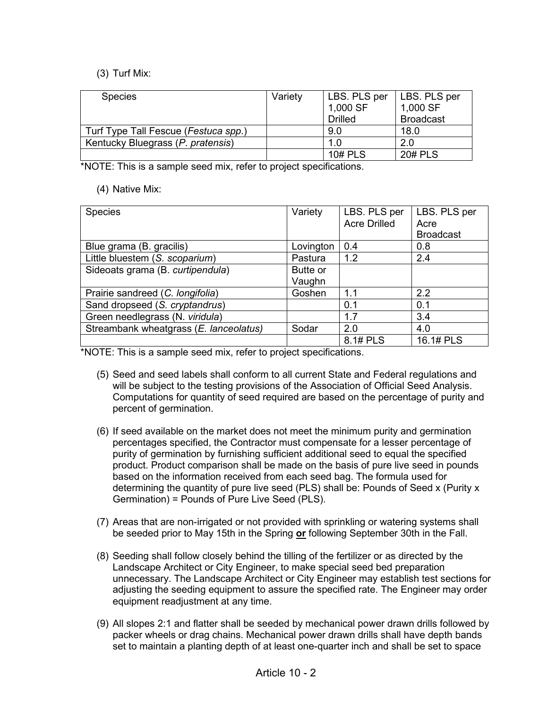# (3) Turf Mix:

| <b>Species</b>                       | Variety | LBS. PLS per   | LBS. PLS per     |
|--------------------------------------|---------|----------------|------------------|
|                                      |         | 1,000 SF       | 1,000 SF         |
|                                      |         | <b>Drilled</b> | <b>Broadcast</b> |
| Turf Type Tall Fescue (Festuca spp.) |         | 9.0            | 18.0             |
| Kentucky Bluegrass (P. pratensis)    |         | 1.0            | 2.0              |
|                                      |         | <b>10# PLS</b> | <b>20# PLS</b>   |

\*NOTE: This is a sample seed mix, refer to project specifications.

## (4) Native Mix:

| <b>Species</b>                         | Variety   | LBS. PLS per        | LBS. PLS per     |
|----------------------------------------|-----------|---------------------|------------------|
|                                        |           | <b>Acre Drilled</b> | Acre             |
|                                        |           |                     | <b>Broadcast</b> |
| Blue grama (B. gracilis)               | Lovington | 0.4                 | 0.8              |
| Little bluestem (S. scoparium)         | Pastura   | 1.2                 | 2.4              |
| Sideoats grama (B. curtipendula)       | Butte or  |                     |                  |
|                                        | Vaughn    |                     |                  |
| Prairie sandreed (C. longifolia)       | Goshen    | 1.1                 | 2.2              |
| Sand dropseed (S. cryptandrus)         |           | 0.1                 | 0.1              |
| Green needlegrass (N. viridula)        |           | 1.7                 | 3.4              |
| Streambank wheatgrass (E. lanceolatus) | Sodar     | 2.0                 | 4.0              |
|                                        |           | 8.1# PLS            | 16.1# PLS        |

\*NOTE: This is a sample seed mix, refer to project specifications.

- (5) Seed and seed labels shall conform to all current State and Federal regulations and will be subject to the testing provisions of the Association of Official Seed Analysis. Computations for quantity of seed required are based on the percentage of purity and percent of germination.
- (6) If seed available on the market does not meet the minimum purity and germination percentages specified, the Contractor must compensate for a lesser percentage of purity of germination by furnishing sufficient additional seed to equal the specified product. Product comparison shall be made on the basis of pure live seed in pounds based on the information received from each seed bag. The formula used for determining the quantity of pure live seed (PLS) shall be: Pounds of Seed x (Purity x Germination) = Pounds of Pure Live Seed (PLS).
- (7) Areas that are non-irrigated or not provided with sprinkling or watering systems shall be seeded prior to May 15th in the Spring **or** following September 30th in the Fall.
- (8) Seeding shall follow closely behind the tilling of the fertilizer or as directed by the Landscape Architect or City Engineer, to make special seed bed preparation unnecessary. The Landscape Architect or City Engineer may establish test sections for adjusting the seeding equipment to assure the specified rate. The Engineer may order equipment readjustment at any time.
- (9) All slopes 2:1 and flatter shall be seeded by mechanical power drawn drills followed by packer wheels or drag chains. Mechanical power drawn drills shall have depth bands set to maintain a planting depth of at least one-quarter inch and shall be set to space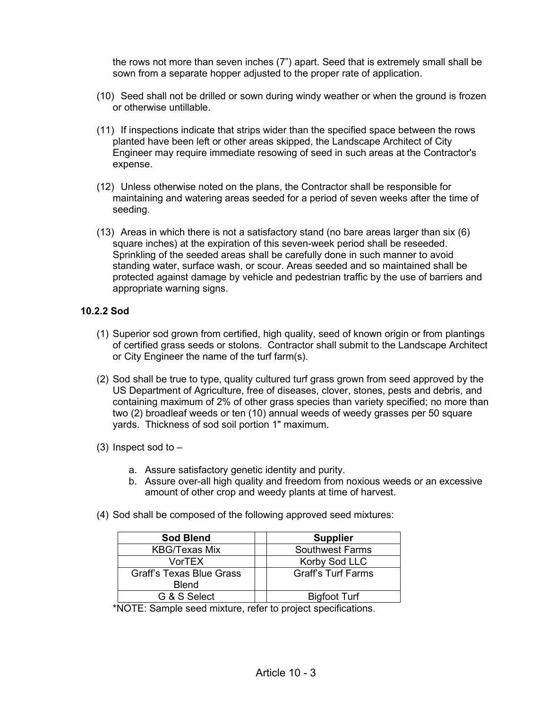the rows not more than seven inches (7") apart. Seed that is extremely small shall be sown from a separate hopper adjusted to the proper rate of application.

- (10) Seed shall not be drilled or sown during windy weather or when the ground is frozen or otherwise untillable.
- (11) If inspections indicate that strips wider than the specified space between the rows planted have been left or other areas skipped, the Landscape Architect of City Engineer may require immediate resowing of seed in such areas at the Contractor's expense.
- (12) Unless otherwise noted on the plans, the Contractor shall be responsible for maintaining and watering areas seeded for a period of seven weeks after the time of seeding.
- (13) Areas in which there is not a satisfactory stand (no bare areas larger than six (6) square inches) at the expiration of this seven-week period shall be reseeded. Sprinkling of the seeded areas shall be carefully done in such manner to avoid standing water, surface wash, or scour. Areas seeded and so maintained shall be protected against damage by vehicle and pedestrian traffic by the use of barriers and appropriate warning signs.

## **10.2.2 Sod**

- (1) Superior sod grown from certified, high quality, seed of known origin or from plantings of certified grass seeds or stolons. Contractor shall submit to the Landscape Architect or City Engineer the name of the turf farm(s).
- (2) Sod shall be true to type, quality cultured turf grass grown from seed approved by the US Department of Agriculture, free of diseases, clover, stones, pests and debris, and containing maximum of 2% of other grass species than variety specified; no more than two (2) broadleaf weeds or ten (10) annual weeds of weedy grasses per 50 square yards. Thickness of sod soil portion 1" maximum.
- (3) Inspect sod to  $$ 
	- a. Assure satisfactory genetic identity and purity.
	- b. Assure over-all high quality and freedom from noxious weeds or an excessive amount of other crop and weedy plants at time of harvest.
- (4) Sod shall be composed of the following approved seed mixtures:

| <b>Sod Blend</b>                                | <b>Supplier</b>           |
|-------------------------------------------------|---------------------------|
| <b>KBG/Texas Mix</b>                            | <b>Southwest Farms</b>    |
| VorTEX                                          | Korby Sod LLC             |
| <b>Graff's Texas Blue Grass</b><br><b>Blend</b> | <b>Graff's Turf Farms</b> |
| G & S Select                                    | <b>Bigfoot Turf</b>       |

\*NOTE: Sample seed mixture, refer to project specifications.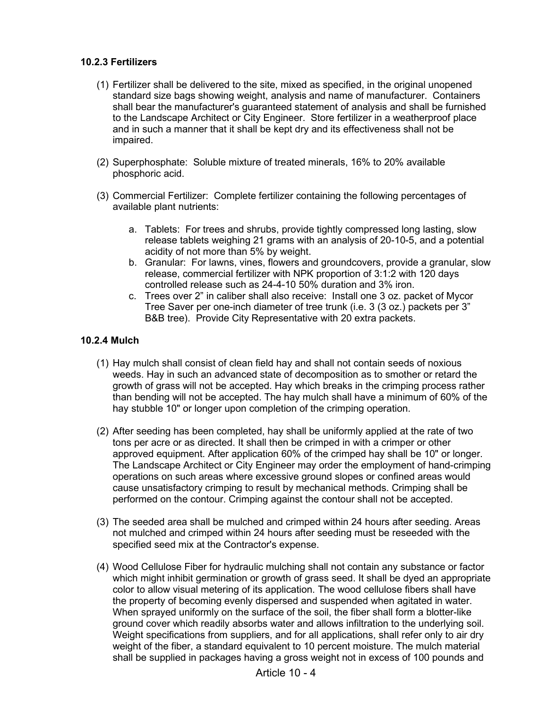## **10.2.3 Fertilizers**

- (1) Fertilizer shall be delivered to the site, mixed as specified, in the original unopened standard size bags showing weight, analysis and name of manufacturer. Containers shall bear the manufacturer's guaranteed statement of analysis and shall be furnished to the Landscape Architect or City Engineer. Store fertilizer in a weatherproof place and in such a manner that it shall be kept dry and its effectiveness shall not be impaired.
- (2) Superphosphate: Soluble mixture of treated minerals, 16% to 20% available phosphoric acid.
- (3) Commercial Fertilizer: Complete fertilizer containing the following percentages of available plant nutrients:
	- a. Tablets: For trees and shrubs, provide tightly compressed long lasting, slow release tablets weighing 21 grams with an analysis of 20-10-5, and a potential acidity of not more than 5% by weight.
	- b. Granular: For lawns, vines, flowers and groundcovers, provide a granular, slow release, commercial fertilizer with NPK proportion of 3:1:2 with 120 days controlled release such as 24-4-10 50% duration and 3% iron.
	- c. Trees over 2" in caliber shall also receive: Install one 3 oz. packet of Mycor Tree Saver per one-inch diameter of tree trunk (i.e. 3 (3 oz.) packets per 3" B&B tree). Provide City Representative with 20 extra packets.

## **10.2.4 Mulch**

- (1) Hay mulch shall consist of clean field hay and shall not contain seeds of noxious weeds. Hay in such an advanced state of decomposition as to smother or retard the growth of grass will not be accepted. Hay which breaks in the crimping process rather than bending will not be accepted. The hay mulch shall have a minimum of 60% of the hay stubble 10" or longer upon completion of the crimping operation.
- (2) After seeding has been completed, hay shall be uniformly applied at the rate of two tons per acre or as directed. It shall then be crimped in with a crimper or other approved equipment. After application 60% of the crimped hay shall be 10" or longer. The Landscape Architect or City Engineer may order the employment of hand-crimping operations on such areas where excessive ground slopes or confined areas would cause unsatisfactory crimping to result by mechanical methods. Crimping shall be performed on the contour. Crimping against the contour shall not be accepted.
- (3) The seeded area shall be mulched and crimped within 24 hours after seeding. Areas not mulched and crimped within 24 hours after seeding must be reseeded with the specified seed mix at the Contractor's expense.
- (4) Wood Cellulose Fiber for hydraulic mulching shall not contain any substance or factor which might inhibit germination or growth of grass seed. It shall be dyed an appropriate color to allow visual metering of its application. The wood cellulose fibers shall have the property of becoming evenly dispersed and suspended when agitated in water. When sprayed uniformly on the surface of the soil, the fiber shall form a blotter-like ground cover which readily absorbs water and allows infiltration to the underlying soil. Weight specifications from suppliers, and for all applications, shall refer only to air dry weight of the fiber, a standard equivalent to 10 percent moisture. The mulch material shall be supplied in packages having a gross weight not in excess of 100 pounds and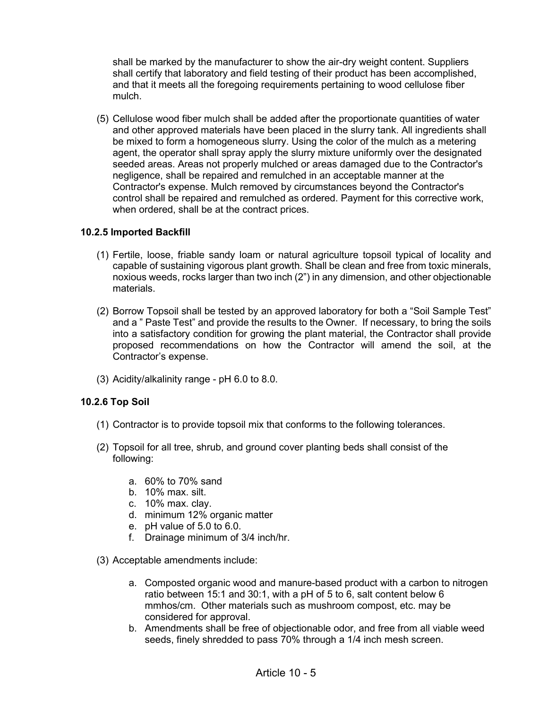shall be marked by the manufacturer to show the air-dry weight content. Suppliers shall certify that laboratory and field testing of their product has been accomplished, and that it meets all the foregoing requirements pertaining to wood cellulose fiber mulch.

(5) Cellulose wood fiber mulch shall be added after the proportionate quantities of water and other approved materials have been placed in the slurry tank. All ingredients shall be mixed to form a homogeneous slurry. Using the color of the mulch as a metering agent, the operator shall spray apply the slurry mixture uniformly over the designated seeded areas. Areas not properly mulched or areas damaged due to the Contractor's negligence, shall be repaired and remulched in an acceptable manner at the Contractor's expense. Mulch removed by circumstances beyond the Contractor's control shall be repaired and remulched as ordered. Payment for this corrective work, when ordered, shall be at the contract prices.

## **10.2.5 Imported Backfill**

- (1) Fertile, loose, friable sandy loam or natural agriculture topsoil typical of locality and capable of sustaining vigorous plant growth. Shall be clean and free from toxic minerals, noxious weeds, rocks larger than two inch (2") in any dimension, and other objectionable materials.
- (2) Borrow Topsoil shall be tested by an approved laboratory for both a "Soil Sample Test" and a " Paste Test" and provide the results to the Owner. If necessary, to bring the soils into a satisfactory condition for growing the plant material, the Contractor shall provide proposed recommendations on how the Contractor will amend the soil, at the Contractor's expense.
- (3) Acidity/alkalinity range pH 6.0 to 8.0.

## **10.2.6 Top Soil**

- (1) Contractor is to provide topsoil mix that conforms to the following tolerances.
- (2) Topsoil for all tree, shrub, and ground cover planting beds shall consist of the following:
	- a. 60% to 70% sand
	- b. 10% max. silt.
	- c. 10% max. clay.
	- d. minimum 12% organic matter
	- e. pH value of 5.0 to 6.0.
	- f. Drainage minimum of 3/4 inch/hr.
- (3) Acceptable amendments include:
	- a. Composted organic wood and manure-based product with a carbon to nitrogen ratio between 15:1 and 30:1, with a pH of 5 to 6, salt content below 6 mmhos/cm. Other materials such as mushroom compost, etc. may be considered for approval.
	- b. Amendments shall be free of objectionable odor, and free from all viable weed seeds, finely shredded to pass 70% through a 1/4 inch mesh screen.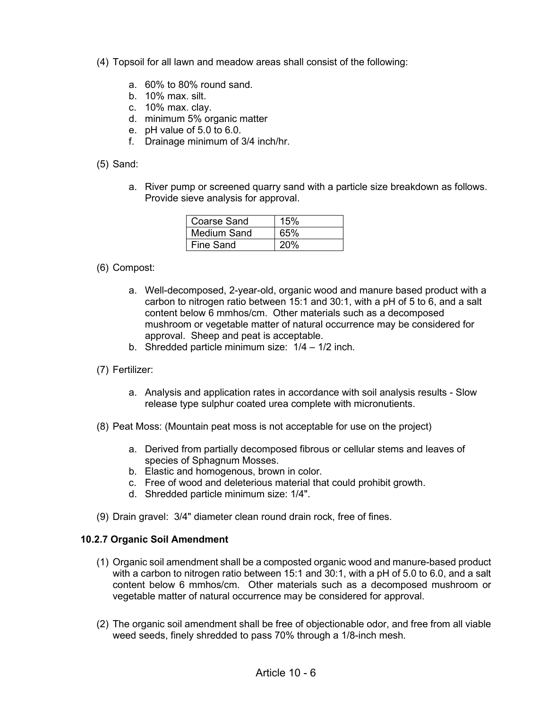(4) Topsoil for all lawn and meadow areas shall consist of the following:

- a. 60% to 80% round sand.
- b. 10% max. silt.
- c. 10% max. clay.
- d. minimum 5% organic matter
- e. pH value of 5.0 to 6.0.
- f. Drainage minimum of 3/4 inch/hr.
- (5) Sand:
	- a. River pump or screened quarry sand with a particle size breakdown as follows. Provide sieve analysis for approval.

| Coarse Sand | 15%        |
|-------------|------------|
| Medium Sand | 65%        |
| Fine Sand   | <b>20%</b> |

(6) Compost:

- a. Well-decomposed, 2-year-old, organic wood and manure based product with a carbon to nitrogen ratio between 15:1 and 30:1, with a pH of 5 to 6, and a salt content below 6 mmhos/cm. Other materials such as a decomposed mushroom or vegetable matter of natural occurrence may be considered for approval. Sheep and peat is acceptable.
- b. Shredded particle minimum size: 1/4 1/2 inch.
- (7) Fertilizer:
	- a. Analysis and application rates in accordance with soil analysis results Slow release type sulphur coated urea complete with micronutients.
- (8) Peat Moss: (Mountain peat moss is not acceptable for use on the project)
	- a. Derived from partially decomposed fibrous or cellular stems and leaves of species of Sphagnum Mosses.
	- b. Elastic and homogenous, brown in color.
	- c. Free of wood and deleterious material that could prohibit growth.
	- d. Shredded particle minimum size: 1/4".
- (9) Drain gravel: 3/4" diameter clean round drain rock, free of fines.

#### **10.2.7 Organic Soil Amendment**

- (1) Organic soil amendment shall be a composted organic wood and manure-based product with a carbon to nitrogen ratio between 15:1 and 30:1, with a pH of 5.0 to 6.0, and a salt content below 6 mmhos/cm. Other materials such as a decomposed mushroom or vegetable matter of natural occurrence may be considered for approval.
- (2) The organic soil amendment shall be free of objectionable odor, and free from all viable weed seeds, finely shredded to pass 70% through a 1/8-inch mesh.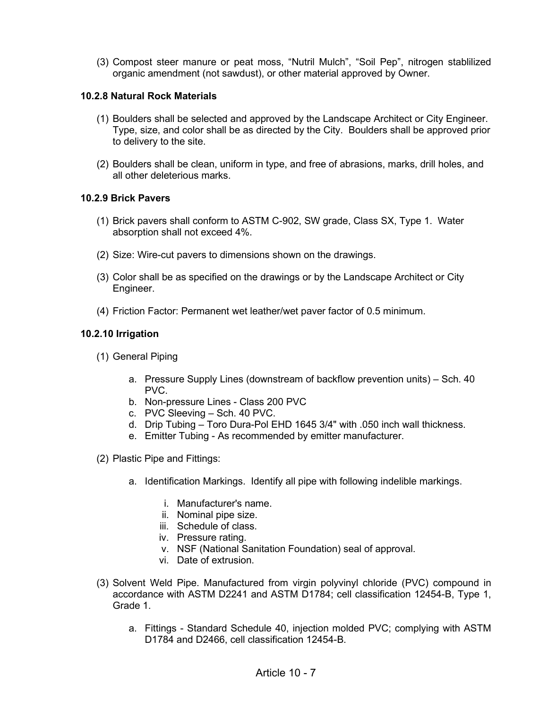(3) Compost steer manure or peat moss, "Nutril Mulch", "Soil Pep", nitrogen stablilized organic amendment (not sawdust), or other material approved by Owner.

## **10.2.8 Natural Rock Materials**

- (1) Boulders shall be selected and approved by the Landscape Architect or City Engineer. Type, size, and color shall be as directed by the City. Boulders shall be approved prior to delivery to the site.
- (2) Boulders shall be clean, uniform in type, and free of abrasions, marks, drill holes, and all other deleterious marks.

#### **10.2.9 Brick Pavers**

- (1) Brick pavers shall conform to ASTM C-902, SW grade, Class SX, Type 1. Water absorption shall not exceed 4%.
- (2) Size: Wire-cut pavers to dimensions shown on the drawings.
- (3) Color shall be as specified on the drawings or by the Landscape Architect or City Engineer.
- (4) Friction Factor: Permanent wet leather/wet paver factor of 0.5 minimum.

#### **10.2.10 Irrigation**

- (1) General Piping
	- a. Pressure Supply Lines (downstream of backflow prevention units) Sch. 40 PVC.
	- b. Non-pressure Lines Class 200 PVC
	- c. PVC Sleeving Sch. 40 PVC.
	- d. Drip Tubing Toro Dura-Pol EHD 1645 3/4" with .050 inch wall thickness.
	- e. Emitter Tubing As recommended by emitter manufacturer.
- (2) Plastic Pipe and Fittings:
	- a. Identification Markings. Identify all pipe with following indelible markings.
		- i. Manufacturer's name.
		- ii. Nominal pipe size.
		- iii. Schedule of class.
		- iv. Pressure rating.
		- v. NSF (National Sanitation Foundation) seal of approval.
		- vi. Date of extrusion.
- (3) Solvent Weld Pipe. Manufactured from virgin polyvinyl chloride (PVC) compound in accordance with ASTM D2241 and ASTM D1784; cell classification 12454-B, Type 1, Grade 1.
	- a. Fittings Standard Schedule 40, injection molded PVC; complying with ASTM D1784 and D2466, cell classification 12454-B.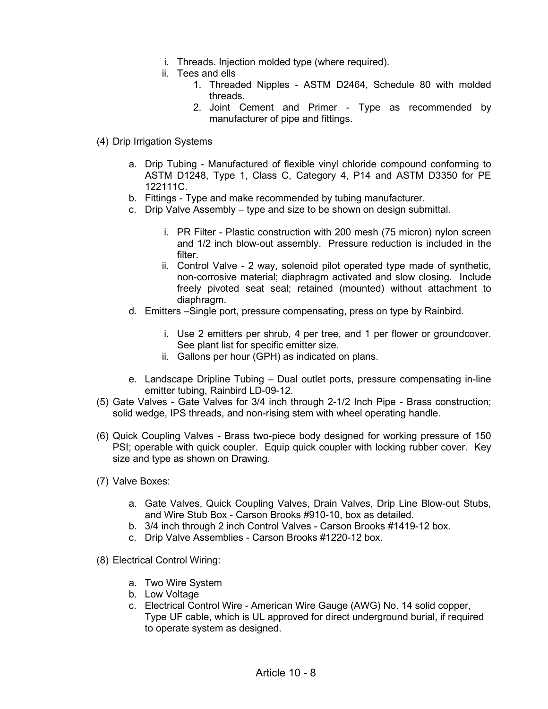- i. Threads. Injection molded type (where required).
- ii. Tees and ells
	- 1. Threaded Nipples ASTM D2464, Schedule 80 with molded threads.
	- 2. Joint Cement and Primer Type as recommended by manufacturer of pipe and fittings.
- (4) Drip Irrigation Systems
	- a. Drip Tubing Manufactured of flexible vinyl chloride compound conforming to ASTM D1248, Type 1, Class C, Category 4, P14 and ASTM D3350 for PE 122111C.
	- b. Fittings Type and make recommended by tubing manufacturer.
	- c. Drip Valve Assembly type and size to be shown on design submittal.
		- i. PR Filter Plastic construction with 200 mesh (75 micron) nylon screen and 1/2 inch blow-out assembly. Pressure reduction is included in the filter.
		- ii. Control Valve 2 way, solenoid pilot operated type made of synthetic, non-corrosive material; diaphragm activated and slow closing. Include freely pivoted seat seal; retained (mounted) without attachment to diaphragm.
	- d. Emitters –Single port, pressure compensating, press on type by Rainbird.
		- i. Use 2 emitters per shrub, 4 per tree, and 1 per flower or groundcover. See plant list for specific emitter size.
		- ii. Gallons per hour (GPH) as indicated on plans.
	- e. Landscape Dripline Tubing Dual outlet ports, pressure compensating in-line emitter tubing, Rainbird LD-09-12.
- (5) Gate Valves Gate Valves for 3/4 inch through 2-1/2 Inch Pipe Brass construction; solid wedge, IPS threads, and non-rising stem with wheel operating handle.
- (6) Quick Coupling Valves Brass two-piece body designed for working pressure of 150 PSI; operable with quick coupler. Equip quick coupler with locking rubber cover. Key size and type as shown on Drawing.
- (7) Valve Boxes:
	- a. Gate Valves, Quick Coupling Valves, Drain Valves, Drip Line Blow-out Stubs, and Wire Stub Box - Carson Brooks #910-10, box as detailed.
	- b. 3/4 inch through 2 inch Control Valves Carson Brooks #1419-12 box.
	- c. Drip Valve Assemblies Carson Brooks #1220-12 box.
- (8) Electrical Control Wiring:
	- a. Two Wire System
	- b. Low Voltage
	- c. Electrical Control Wire American Wire Gauge (AWG) No. 14 solid copper, Type UF cable, which is UL approved for direct underground burial, if required to operate system as designed.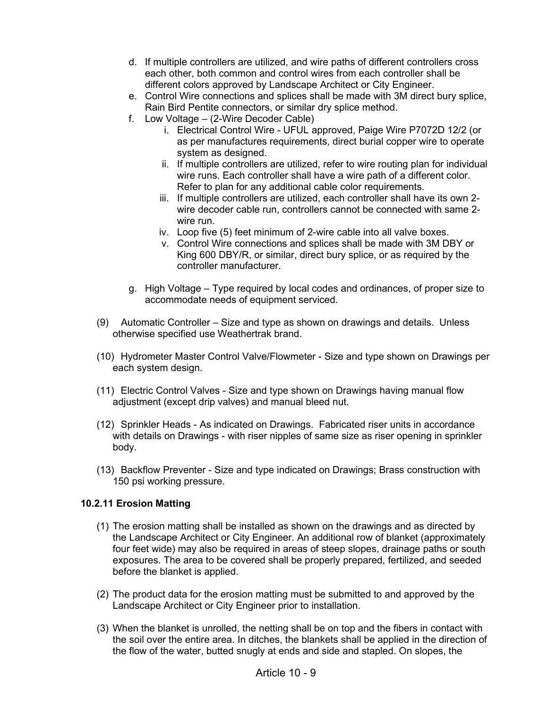- d. If multiple controllers are utilized, and wire paths of different controllers cross each other, both common and control wires from each controller shall be different colors approved by Landscape Architect or City Engineer.
- e. Control Wire connections and splices shall be made with 3M direct bury splice, Rain Bird Pentite connectors, or similar dry splice method.
- f. Low Voltage (2-Wire Decoder Cable)
	- i. Electrical Control Wire UFUL approved, Paige Wire P7072D 12/2 (or as per manufactures requirements, direct burial copper wire to operate system as designed.
	- ii. If multiple controllers are utilized, refer to wire routing plan for individual wire runs. Each controller shall have a wire path of a different color. Refer to plan for any additional cable color requirements.
	- iii. If multiple controllers are utilized, each controller shall have its own 2 wire decoder cable run, controllers cannot be connected with same 2 wire run.
	- iv. Loop five (5) feet minimum of 2-wire cable into all valve boxes.
	- v. Control Wire connections and splices shall be made with 3M DBY or King 600 DBY/R, or similar, direct bury splice, or as required by the controller manufacturer.
- g. High Voltage Type required by local codes and ordinances, of proper size to accommodate needs of equipment serviced.
- (9) Automatic Controller Size and type as shown on drawings and details. Unless otherwise specified use Weathertrak brand.
- (10) Hydrometer Master Control Valve/Flowmeter Size and type shown on Drawings per each system design.
- (11) Electric Control Valves Size and type shown on Drawings having manual flow adjustment (except drip valves) and manual bleed nut.
- (12) Sprinkler Heads As indicated on Drawings. Fabricated riser units in accordance with details on Drawings - with riser nipples of same size as riser opening in sprinkler body.
- (13) Backflow Preventer Size and type indicated on Drawings; Brass construction with 150 psi working pressure.

## **10.2.11 Erosion Matting**

- (1) The erosion matting shall be installed as shown on the drawings and as directed by the Landscape Architect or City Engineer. An additional row of blanket (approximately four feet wide) may also be required in areas of steep slopes, drainage paths or south exposures. The area to be covered shall be properly prepared, fertilized, and seeded before the blanket is applied.
- (2) The product data for the erosion matting must be submitted to and approved by the Landscape Architect or City Engineer prior to installation.
- (3) When the blanket is unrolled, the netting shall be on top and the fibers in contact with the soil over the entire area. In ditches, the blankets shall be applied in the direction of the flow of the water, butted snugly at ends and side and stapled. On slopes, the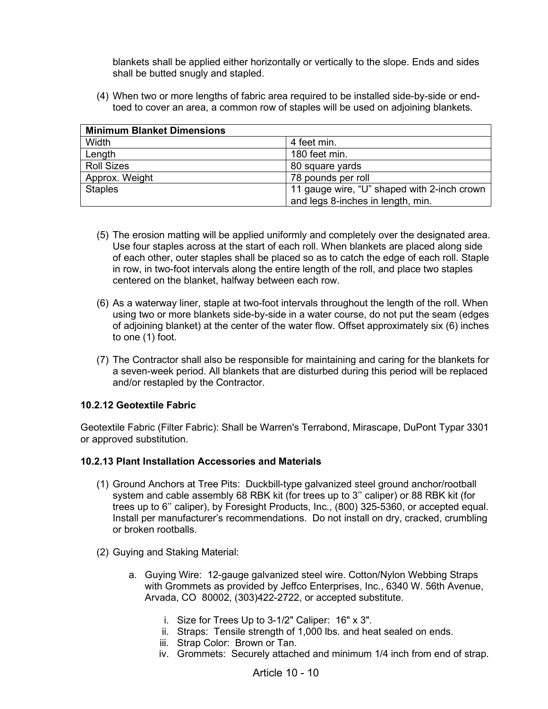blankets shall be applied either horizontally or vertically to the slope. Ends and sides shall be butted snugly and stapled.

(4) When two or more lengths of fabric area required to be installed side-by-side or endtoed to cover an area, a common row of staples will be used on adjoining blankets.

| <b>Minimum Blanket Dimensions</b> |                                             |
|-----------------------------------|---------------------------------------------|
| Width                             | 4 feet min.                                 |
| Length                            | 180 feet min.                               |
| <b>Roll Sizes</b>                 | 80 square yards                             |
| Approx. Weight                    | 78 pounds per roll                          |
| <b>Staples</b>                    | 11 gauge wire, "U" shaped with 2-inch crown |
|                                   | and legs 8-inches in length, min.           |

- (5) The erosion matting will be applied uniformly and completely over the designated area. Use four staples across at the start of each roll. When blankets are placed along side of each other, outer staples shall be placed so as to catch the edge of each roll. Staple in row, in two-foot intervals along the entire length of the roll, and place two staples centered on the blanket, halfway between each row.
- (6) As a waterway liner, staple at two-foot intervals throughout the length of the roll. When using two or more blankets side-by-side in a water course, do not put the seam (edges of adjoining blanket) at the center of the water flow. Offset approximately six (6) inches to one (1) foot.
- (7) The Contractor shall also be responsible for maintaining and caring for the blankets for a seven-week period. All blankets that are disturbed during this period will be replaced and/or restapled by the Contractor.

## **10.2.12 Geotextile Fabric**

Geotextile Fabric (Filter Fabric): Shall be Warren's Terrabond, Mirascape, DuPont Typar 3301 or approved substitution.

#### **10.2.13 Plant Installation Accessories and Materials**

- (1) Ground Anchors at Tree Pits: Duckbill-type galvanized steel ground anchor/rootball system and cable assembly 68 RBK kit (for trees up to 3'' caliper) or 88 RBK kit (for trees up to 6'' caliper), by Foresight Products, Inc., (800) 325-5360, or accepted equal. Install per manufacturer's recommendations. Do not install on dry, cracked, crumbling or broken rootballs.
- (2) Guying and Staking Material:
	- a. Guying Wire: 12-gauge galvanized steel wire. Cotton/Nylon Webbing Straps with Grommets as provided by Jeffco Enterprises, Inc., 6340 W. 56th Avenue, Arvada, CO 80002, (303)422-2722, or accepted substitute.
		- i. Size for Trees Up to 3-1/2" Caliper: 16" x 3".
		- ii. Straps: Tensile strength of 1,000 lbs. and heat sealed on ends.
		- iii. Strap Color: Brown or Tan.
		- iv. Grommets: Securely attached and minimum 1/4 inch from end of strap.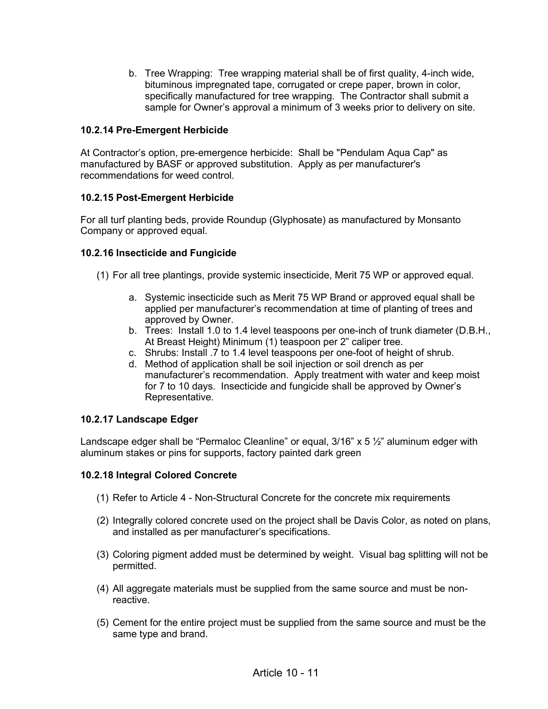b. Tree Wrapping: Tree wrapping material shall be of first quality, 4-inch wide, bituminous impregnated tape, corrugated or crepe paper, brown in color, specifically manufactured for tree wrapping. The Contractor shall submit a sample for Owner's approval a minimum of 3 weeks prior to delivery on site.

## **10.2.14 Pre-Emergent Herbicide**

At Contractor's option, pre-emergence herbicide: Shall be "Pendulam Aqua Cap" as manufactured by BASF or approved substitution. Apply as per manufacturer's recommendations for weed control.

## **10.2.15 Post-Emergent Herbicide**

For all turf planting beds, provide Roundup (Glyphosate) as manufactured by Monsanto Company or approved equal.

## **10.2.16 Insecticide and Fungicide**

- (1) For all tree plantings, provide systemic insecticide, Merit 75 WP or approved equal.
	- a. Systemic insecticide such as Merit 75 WP Brand or approved equal shall be applied per manufacturer's recommendation at time of planting of trees and approved by Owner.
	- b. Trees: Install 1.0 to 1.4 level teaspoons per one-inch of trunk diameter (D.B.H., At Breast Height) Minimum (1) teaspoon per 2" caliper tree.
	- c. Shrubs: Install .7 to 1.4 level teaspoons per one-foot of height of shrub.
	- d. Method of application shall be soil injection or soil drench as per manufacturer's recommendation. Apply treatment with water and keep moist for 7 to 10 days. Insecticide and fungicide shall be approved by Owner's Representative.

## **10.2.17 Landscape Edger**

Landscape edger shall be "Permaloc Cleanline" or equal,  $3/16$ " x 5  $\frac{1}{2}$ " aluminum edger with aluminum stakes or pins for supports, factory painted dark green

## **10.2.18 Integral Colored Concrete**

- (1) Refer to Article 4 Non-Structural Concrete for the concrete mix requirements
- (2) Integrally colored concrete used on the project shall be Davis Color, as noted on plans, and installed as per manufacturer's specifications.
- (3) Coloring pigment added must be determined by weight. Visual bag splitting will not be permitted.
- (4) All aggregate materials must be supplied from the same source and must be nonreactive.
- (5) Cement for the entire project must be supplied from the same source and must be the same type and brand.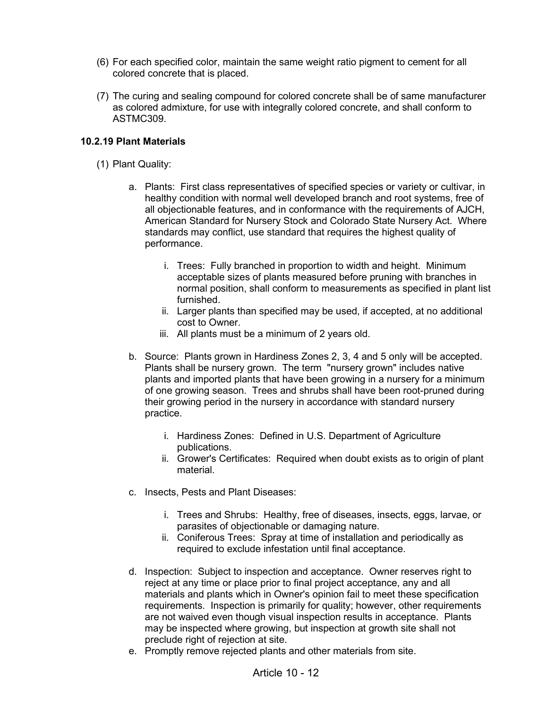- (6) For each specified color, maintain the same weight ratio pigment to cement for all colored concrete that is placed.
- (7) The curing and sealing compound for colored concrete shall be of same manufacturer as colored admixture, for use with integrally colored concrete, and shall conform to ASTMC309.

#### **10.2.19 Plant Materials**

- (1) Plant Quality:
	- a. Plants: First class representatives of specified species or variety or cultivar, in healthy condition with normal well developed branch and root systems, free of all objectionable features, and in conformance with the requirements of AJCH, American Standard for Nursery Stock and Colorado State Nursery Act. Where standards may conflict, use standard that requires the highest quality of performance.
		- i. Trees: Fully branched in proportion to width and height. Minimum acceptable sizes of plants measured before pruning with branches in normal position, shall conform to measurements as specified in plant list furnished.
		- ii. Larger plants than specified may be used, if accepted, at no additional cost to Owner.
		- iii. All plants must be a minimum of 2 years old.
	- b. Source: Plants grown in Hardiness Zones 2, 3, 4 and 5 only will be accepted. Plants shall be nursery grown. The term "nursery grown" includes native plants and imported plants that have been growing in a nursery for a minimum of one growing season. Trees and shrubs shall have been root-pruned during their growing period in the nursery in accordance with standard nursery practice.
		- i. Hardiness Zones: Defined in U.S. Department of Agriculture publications.
		- ii. Grower's Certificates: Required when doubt exists as to origin of plant material.
	- c. Insects, Pests and Plant Diseases:
		- i. Trees and Shrubs: Healthy, free of diseases, insects, eggs, larvae, or parasites of objectionable or damaging nature.
		- ii. Coniferous Trees: Spray at time of installation and periodically as required to exclude infestation until final acceptance.
	- d. Inspection: Subject to inspection and acceptance. Owner reserves right to reject at any time or place prior to final project acceptance, any and all materials and plants which in Owner's opinion fail to meet these specification requirements. Inspection is primarily for quality; however, other requirements are not waived even though visual inspection results in acceptance. Plants may be inspected where growing, but inspection at growth site shall not preclude right of rejection at site.
	- e. Promptly remove rejected plants and other materials from site.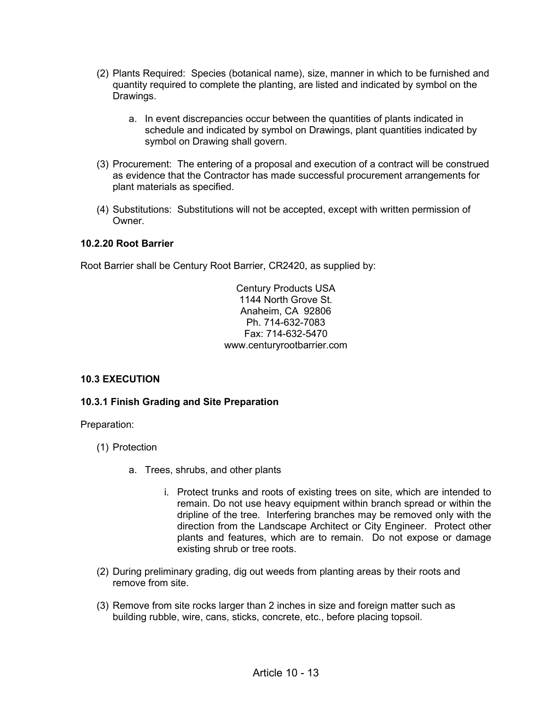- (2) Plants Required: Species (botanical name), size, manner in which to be furnished and quantity required to complete the planting, are listed and indicated by symbol on the Drawings.
	- a. In event discrepancies occur between the quantities of plants indicated in schedule and indicated by symbol on Drawings, plant quantities indicated by symbol on Drawing shall govern.
- (3) Procurement: The entering of a proposal and execution of a contract will be construed as evidence that the Contractor has made successful procurement arrangements for plant materials as specified.
- (4) Substitutions: Substitutions will not be accepted, except with written permission of Owner.

## **10.2.20 Root Barrier**

Root Barrier shall be Century Root Barrier, CR2420, as supplied by:

Century Products USA 1144 North Grove St. Anaheim, CA 92806 Ph. 714-632-7083 Fax: 714-632-5470 www.centuryrootbarrier.com

## **10.3 EXECUTION**

#### **10.3.1 Finish Grading and Site Preparation**

Preparation:

- (1) Protection
	- a. Trees, shrubs, and other plants
		- i. Protect trunks and roots of existing trees on site, which are intended to remain. Do not use heavy equipment within branch spread or within the dripline of the tree. Interfering branches may be removed only with the direction from the Landscape Architect or City Engineer. Protect other plants and features, which are to remain. Do not expose or damage existing shrub or tree roots.
- (2) During preliminary grading, dig out weeds from planting areas by their roots and remove from site.
- (3) Remove from site rocks larger than 2 inches in size and foreign matter such as building rubble, wire, cans, sticks, concrete, etc., before placing topsoil.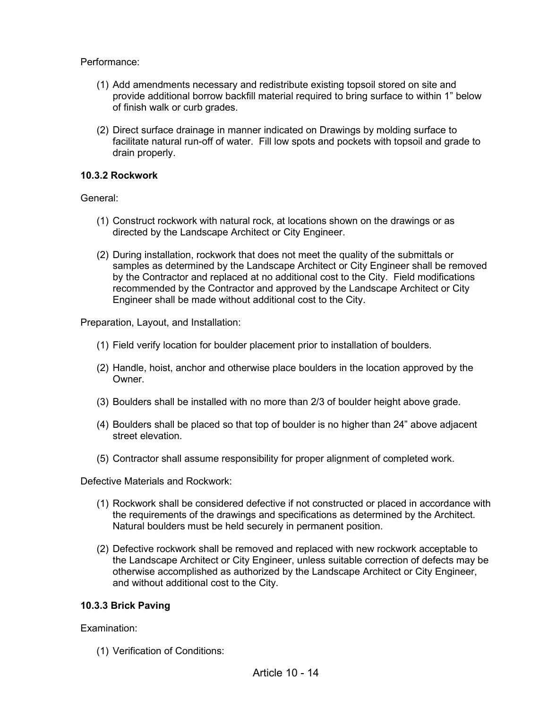Performance:

- (1) Add amendments necessary and redistribute existing topsoil stored on site and provide additional borrow backfill material required to bring surface to within 1" below of finish walk or curb grades.
- (2) Direct surface drainage in manner indicated on Drawings by molding surface to facilitate natural run-off of water. Fill low spots and pockets with topsoil and grade to drain properly.

## **10.3.2 Rockwork**

General:

- (1) Construct rockwork with natural rock, at locations shown on the drawings or as directed by the Landscape Architect or City Engineer.
- (2) During installation, rockwork that does not meet the quality of the submittals or samples as determined by the Landscape Architect or City Engineer shall be removed by the Contractor and replaced at no additional cost to the City. Field modifications recommended by the Contractor and approved by the Landscape Architect or City Engineer shall be made without additional cost to the City.

Preparation, Layout, and Installation:

- (1) Field verify location for boulder placement prior to installation of boulders.
- (2) Handle, hoist, anchor and otherwise place boulders in the location approved by the Owner.
- (3) Boulders shall be installed with no more than 2/3 of boulder height above grade.
- (4) Boulders shall be placed so that top of boulder is no higher than 24" above adjacent street elevation.
- (5) Contractor shall assume responsibility for proper alignment of completed work.

Defective Materials and Rockwork:

- (1) Rockwork shall be considered defective if not constructed or placed in accordance with the requirements of the drawings and specifications as determined by the Architect. Natural boulders must be held securely in permanent position.
- (2) Defective rockwork shall be removed and replaced with new rockwork acceptable to the Landscape Architect or City Engineer, unless suitable correction of defects may be otherwise accomplished as authorized by the Landscape Architect or City Engineer, and without additional cost to the City.

# **10.3.3 Brick Paving**

Examination:

(1) Verification of Conditions: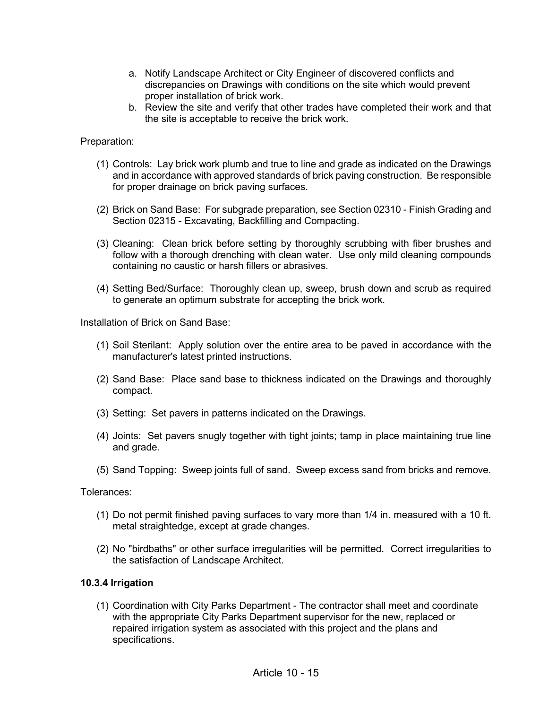- a. Notify Landscape Architect or City Engineer of discovered conflicts and discrepancies on Drawings with conditions on the site which would prevent proper installation of brick work.
- b. Review the site and verify that other trades have completed their work and that the site is acceptable to receive the brick work.

Preparation:

- (1) Controls: Lay brick work plumb and true to line and grade as indicated on the Drawings and in accordance with approved standards of brick paving construction. Be responsible for proper drainage on brick paving surfaces.
- (2) Brick on Sand Base: For subgrade preparation, see Section 02310 Finish Grading and Section 02315 - Excavating, Backfilling and Compacting.
- (3) Cleaning: Clean brick before setting by thoroughly scrubbing with fiber brushes and follow with a thorough drenching with clean water. Use only mild cleaning compounds containing no caustic or harsh fillers or abrasives.
- (4) Setting Bed/Surface: Thoroughly clean up, sweep, brush down and scrub as required to generate an optimum substrate for accepting the brick work.

Installation of Brick on Sand Base:

- (1) Soil Sterilant: Apply solution over the entire area to be paved in accordance with the manufacturer's latest printed instructions.
- (2) Sand Base: Place sand base to thickness indicated on the Drawings and thoroughly compact.
- (3) Setting: Set pavers in patterns indicated on the Drawings.
- (4) Joints: Set pavers snugly together with tight joints; tamp in place maintaining true line and grade.
- (5) Sand Topping: Sweep joints full of sand. Sweep excess sand from bricks and remove.

Tolerances:

- (1) Do not permit finished paving surfaces to vary more than 1/4 in. measured with a 10 ft. metal straightedge, except at grade changes.
- (2) No "birdbaths" or other surface irregularities will be permitted. Correct irregularities to the satisfaction of Landscape Architect.

#### **10.3.4 Irrigation**

(1) Coordination with City Parks Department - The contractor shall meet and coordinate with the appropriate City Parks Department supervisor for the new, replaced or repaired irrigation system as associated with this project and the plans and specifications.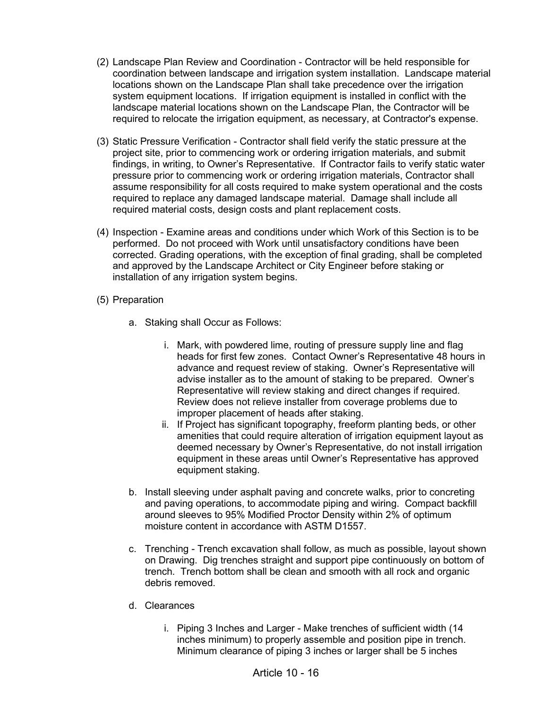- (2) Landscape Plan Review and Coordination Contractor will be held responsible for coordination between landscape and irrigation system installation. Landscape material locations shown on the Landscape Plan shall take precedence over the irrigation system equipment locations. If irrigation equipment is installed in conflict with the landscape material locations shown on the Landscape Plan, the Contractor will be required to relocate the irrigation equipment, as necessary, at Contractor's expense.
- (3) Static Pressure Verification Contractor shall field verify the static pressure at the project site, prior to commencing work or ordering irrigation materials, and submit findings, in writing, to Owner's Representative. If Contractor fails to verify static water pressure prior to commencing work or ordering irrigation materials, Contractor shall assume responsibility for all costs required to make system operational and the costs required to replace any damaged landscape material. Damage shall include all required material costs, design costs and plant replacement costs.
- (4) Inspection Examine areas and conditions under which Work of this Section is to be performed. Do not proceed with Work until unsatisfactory conditions have been corrected. Grading operations, with the exception of final grading, shall be completed and approved by the Landscape Architect or City Engineer before staking or installation of any irrigation system begins.
- (5) Preparation
	- a. Staking shall Occur as Follows:
		- i. Mark, with powdered lime, routing of pressure supply line and flag heads for first few zones. Contact Owner's Representative 48 hours in advance and request review of staking. Owner's Representative will advise installer as to the amount of staking to be prepared. Owner's Representative will review staking and direct changes if required. Review does not relieve installer from coverage problems due to improper placement of heads after staking.
		- ii. If Project has significant topography, freeform planting beds, or other amenities that could require alteration of irrigation equipment layout as deemed necessary by Owner's Representative, do not install irrigation equipment in these areas until Owner's Representative has approved equipment staking.
	- b. Install sleeving under asphalt paving and concrete walks, prior to concreting and paving operations, to accommodate piping and wiring. Compact backfill around sleeves to 95% Modified Proctor Density within 2% of optimum moisture content in accordance with ASTM D1557.
	- c. Trenching Trench excavation shall follow, as much as possible, layout shown on Drawing. Dig trenches straight and support pipe continuously on bottom of trench. Trench bottom shall be clean and smooth with all rock and organic debris removed.
	- d. Clearances
		- i. Piping 3 Inches and Larger Make trenches of sufficient width (14 inches minimum) to properly assemble and position pipe in trench. Minimum clearance of piping 3 inches or larger shall be 5 inches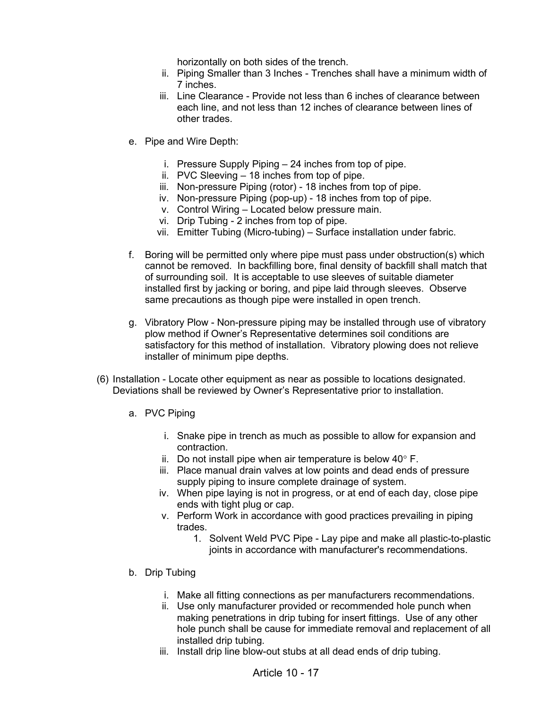horizontally on both sides of the trench.

- ii. Piping Smaller than 3 Inches Trenches shall have a minimum width of 7 inches.
- iii. Line Clearance Provide not less than 6 inches of clearance between each line, and not less than 12 inches of clearance between lines of other trades.
- e. Pipe and Wire Depth:
	- i. Pressure Supply Piping 24 inches from top of pipe.
	- ii. PVC Sleeving 18 inches from top of pipe.
	- iii. Non-pressure Piping (rotor) 18 inches from top of pipe.
	- iv. Non-pressure Piping (pop-up) 18 inches from top of pipe.
	- v. Control Wiring Located below pressure main.
	- vi. Drip Tubing 2 inches from top of pipe.
	- vii. Emitter Tubing (Micro-tubing) Surface installation under fabric.
- f. Boring will be permitted only where pipe must pass under obstruction(s) which cannot be removed. In backfilling bore, final density of backfill shall match that of surrounding soil. It is acceptable to use sleeves of suitable diameter installed first by jacking or boring, and pipe laid through sleeves. Observe same precautions as though pipe were installed in open trench.
- g. Vibratory Plow Non-pressure piping may be installed through use of vibratory plow method if Owner's Representative determines soil conditions are satisfactory for this method of installation. Vibratory plowing does not relieve installer of minimum pipe depths.
- (6) Installation Locate other equipment as near as possible to locations designated. Deviations shall be reviewed by Owner's Representative prior to installation.
	- a. PVC Piping
		- i. Snake pipe in trench as much as possible to allow for expansion and contraction.
		- ii. Do not install pipe when air temperature is below  $40^{\circ}$  F.
		- iii. Place manual drain valves at low points and dead ends of pressure supply piping to insure complete drainage of system.
		- iv. When pipe laying is not in progress, or at end of each day, close pipe ends with tight plug or cap.
		- v. Perform Work in accordance with good practices prevailing in piping trades.
			- 1. Solvent Weld PVC Pipe Lay pipe and make all plastic-to-plastic joints in accordance with manufacturer's recommendations.
	- b. Drip Tubing
		- i. Make all fitting connections as per manufacturers recommendations.
		- ii. Use only manufacturer provided or recommended hole punch when making penetrations in drip tubing for insert fittings. Use of any other hole punch shall be cause for immediate removal and replacement of all installed drip tubing.
		- iii. Install drip line blow-out stubs at all dead ends of drip tubing.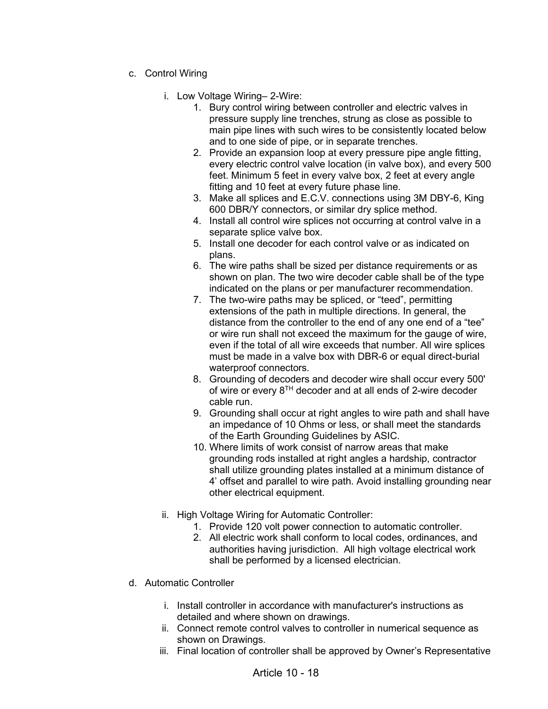- c. Control Wiring
	- i. Low Voltage Wiring– 2-Wire:
		- 1. Bury control wiring between controller and electric valves in pressure supply line trenches, strung as close as possible to main pipe lines with such wires to be consistently located below and to one side of pipe, or in separate trenches.
		- 2. Provide an expansion loop at every pressure pipe angle fitting, every electric control valve location (in valve box), and every 500 feet. Minimum 5 feet in every valve box, 2 feet at every angle fitting and 10 feet at every future phase line.
		- 3. Make all splices and E.C.V. connections using 3M DBY-6, King 600 DBR/Y connectors, or similar dry splice method.
		- 4. Install all control wire splices not occurring at control valve in a separate splice valve box.
		- 5. Install one decoder for each control valve or as indicated on plans.
		- 6. The wire paths shall be sized per distance requirements or as shown on plan. The two wire decoder cable shall be of the type indicated on the plans or per manufacturer recommendation.
		- 7. The two-wire paths may be spliced, or "teed", permitting extensions of the path in multiple directions. In general, the distance from the controller to the end of any one end of a "tee" or wire run shall not exceed the maximum for the gauge of wire, even if the total of all wire exceeds that number. All wire splices must be made in a valve box with DBR-6 or equal direct-burial waterproof connectors.
		- 8. Grounding of decoders and decoder wire shall occur every 500' of wire or every 8<sup>TH</sup> decoder and at all ends of 2-wire decoder cable run.
		- 9. Grounding shall occur at right angles to wire path and shall have an impedance of 10 Ohms or less, or shall meet the standards of the Earth Grounding Guidelines by ASIC.
		- 10. Where limits of work consist of narrow areas that make grounding rods installed at right angles a hardship, contractor shall utilize grounding plates installed at a minimum distance of 4' offset and parallel to wire path. Avoid installing grounding near other electrical equipment.
	- ii. High Voltage Wiring for Automatic Controller:
		- 1. Provide 120 volt power connection to automatic controller.
		- 2. All electric work shall conform to local codes, ordinances, and authorities having jurisdiction. All high voltage electrical work shall be performed by a licensed electrician.
- d. Automatic Controller
	- i. Install controller in accordance with manufacturer's instructions as detailed and where shown on drawings.
	- ii. Connect remote control valves to controller in numerical sequence as shown on Drawings.
	- iii. Final location of controller shall be approved by Owner's Representative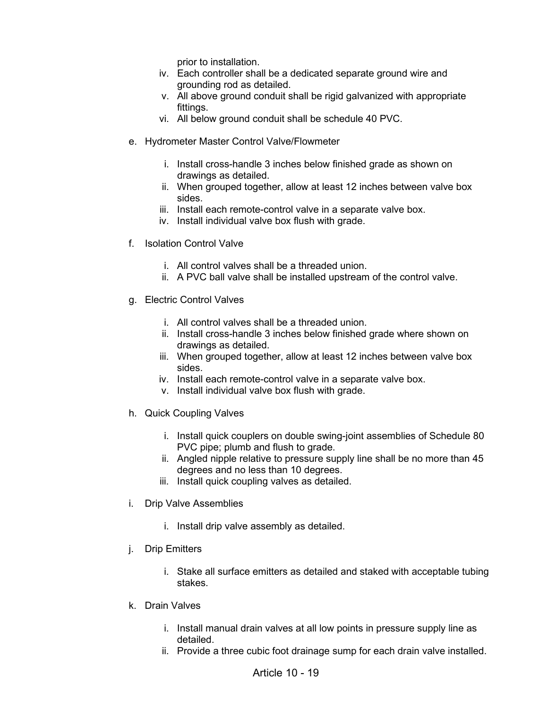prior to installation.

- iv. Each controller shall be a dedicated separate ground wire and grounding rod as detailed.
- v. All above ground conduit shall be rigid galvanized with appropriate fittings.
- vi. All below ground conduit shall be schedule 40 PVC.
- e. Hydrometer Master Control Valve/Flowmeter
	- i. Install cross-handle 3 inches below finished grade as shown on drawings as detailed.
	- ii. When grouped together, allow at least 12 inches between valve box sides.
	- iii. Install each remote-control valve in a separate valve box.
	- iv. Install individual valve box flush with grade.
- f. Isolation Control Valve
	- i. All control valves shall be a threaded union.
	- ii. A PVC ball valve shall be installed upstream of the control valve.
- g. Electric Control Valves
	- i. All control valves shall be a threaded union.
	- ii. Install cross-handle 3 inches below finished grade where shown on drawings as detailed.
	- iii. When grouped together, allow at least 12 inches between valve box sides.
	- iv. Install each remote-control valve in a separate valve box.
	- v. Install individual valve box flush with grade.
- h. Quick Coupling Valves
	- i. Install quick couplers on double swing-joint assemblies of Schedule 80 PVC pipe; plumb and flush to grade.
	- ii. Angled nipple relative to pressure supply line shall be no more than 45 degrees and no less than 10 degrees.
	- iii. Install quick coupling valves as detailed.
- i. Drip Valve Assemblies
	- i. Install drip valve assembly as detailed.
- j. Drip Emitters
	- i. Stake all surface emitters as detailed and staked with acceptable tubing stakes.
- k. Drain Valves
	- i. Install manual drain valves at all low points in pressure supply line as detailed.
	- ii. Provide a three cubic foot drainage sump for each drain valve installed.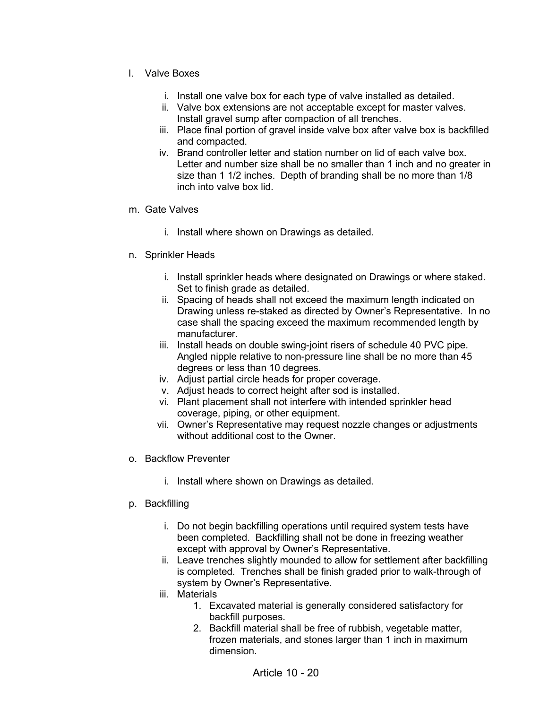- l. Valve Boxes
	- i. Install one valve box for each type of valve installed as detailed.
	- ii. Valve box extensions are not acceptable except for master valves. Install gravel sump after compaction of all trenches.
	- iii. Place final portion of gravel inside valve box after valve box is backfilled and compacted.
	- iv. Brand controller letter and station number on lid of each valve box. Letter and number size shall be no smaller than 1 inch and no greater in size than 1 1/2 inches. Depth of branding shall be no more than 1/8 inch into valve box lid.
- m. Gate Valves
	- i. Install where shown on Drawings as detailed.
- n. Sprinkler Heads
	- i. Install sprinkler heads where designated on Drawings or where staked. Set to finish grade as detailed.
	- ii. Spacing of heads shall not exceed the maximum length indicated on Drawing unless re-staked as directed by Owner's Representative. In no case shall the spacing exceed the maximum recommended length by manufacturer.
	- iii. Install heads on double swing-joint risers of schedule 40 PVC pipe. Angled nipple relative to non-pressure line shall be no more than 45 degrees or less than 10 degrees.
	- iv. Adjust partial circle heads for proper coverage.
	- v. Adjust heads to correct height after sod is installed.
	- vi. Plant placement shall not interfere with intended sprinkler head coverage, piping, or other equipment.
	- vii. Owner's Representative may request nozzle changes or adjustments without additional cost to the Owner.
- o. Backflow Preventer
	- i. Install where shown on Drawings as detailed.
- p. Backfilling
	- i. Do not begin backfilling operations until required system tests have been completed. Backfilling shall not be done in freezing weather except with approval by Owner's Representative.
	- ii. Leave trenches slightly mounded to allow for settlement after backfilling is completed. Trenches shall be finish graded prior to walk-through of system by Owner's Representative.
	- iii. Materials
		- 1. Excavated material is generally considered satisfactory for backfill purposes.
		- 2. Backfill material shall be free of rubbish, vegetable matter, frozen materials, and stones larger than 1 inch in maximum dimension.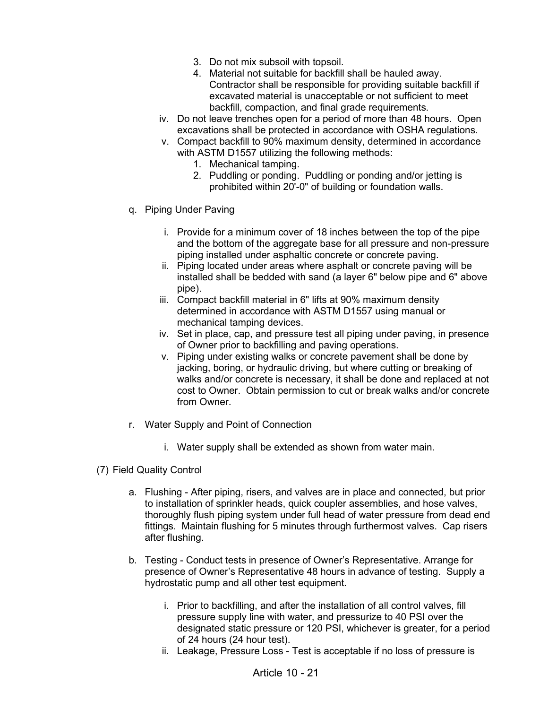- 3. Do not mix subsoil with topsoil.
- 4. Material not suitable for backfill shall be hauled away. Contractor shall be responsible for providing suitable backfill if excavated material is unacceptable or not sufficient to meet backfill, compaction, and final grade requirements.
- iv. Do not leave trenches open for a period of more than 48 hours. Open excavations shall be protected in accordance with OSHA regulations.
- v. Compact backfill to 90% maximum density, determined in accordance with ASTM D1557 utilizing the following methods:
	- 1. Mechanical tamping.
	- 2. Puddling or ponding. Puddling or ponding and/or jetting is prohibited within 20'-0" of building or foundation walls.
- q. Piping Under Paving
	- i. Provide for a minimum cover of 18 inches between the top of the pipe and the bottom of the aggregate base for all pressure and non-pressure piping installed under asphaltic concrete or concrete paving.
	- ii. Piping located under areas where asphalt or concrete paving will be installed shall be bedded with sand (a layer 6" below pipe and 6" above pipe).
	- iii. Compact backfill material in 6" lifts at 90% maximum density determined in accordance with ASTM D1557 using manual or mechanical tamping devices.
	- iv. Set in place, cap, and pressure test all piping under paving, in presence of Owner prior to backfilling and paving operations.
	- v. Piping under existing walks or concrete pavement shall be done by jacking, boring, or hydraulic driving, but where cutting or breaking of walks and/or concrete is necessary, it shall be done and replaced at not cost to Owner. Obtain permission to cut or break walks and/or concrete from Owner.
- r. Water Supply and Point of Connection
	- i. Water supply shall be extended as shown from water main.
- (7) Field Quality Control
	- a. Flushing After piping, risers, and valves are in place and connected, but prior to installation of sprinkler heads, quick coupler assemblies, and hose valves, thoroughly flush piping system under full head of water pressure from dead end fittings. Maintain flushing for 5 minutes through furthermost valves. Cap risers after flushing.
	- b. Testing Conduct tests in presence of Owner's Representative. Arrange for presence of Owner's Representative 48 hours in advance of testing. Supply a hydrostatic pump and all other test equipment.
		- i. Prior to backfilling, and after the installation of all control valves, fill pressure supply line with water, and pressurize to 40 PSI over the designated static pressure or 120 PSI, whichever is greater, for a period of 24 hours (24 hour test).
		- ii. Leakage, Pressure Loss Test is acceptable if no loss of pressure is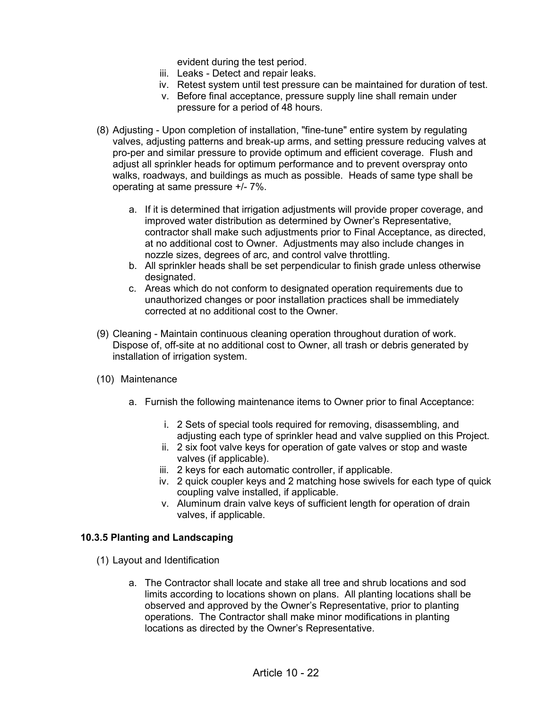evident during the test period.

- iii. Leaks Detect and repair leaks.
- iv. Retest system until test pressure can be maintained for duration of test.
- v. Before final acceptance, pressure supply line shall remain under pressure for a period of 48 hours.
- (8) Adjusting Upon completion of installation, "fine-tune" entire system by regulating valves, adjusting patterns and break-up arms, and setting pressure reducing valves at pro-per and similar pressure to provide optimum and efficient coverage. Flush and adjust all sprinkler heads for optimum performance and to prevent overspray onto walks, roadways, and buildings as much as possible. Heads of same type shall be operating at same pressure +/- 7%.
	- a. If it is determined that irrigation adjustments will provide proper coverage, and improved water distribution as determined by Owner's Representative, contractor shall make such adjustments prior to Final Acceptance, as directed, at no additional cost to Owner. Adjustments may also include changes in nozzle sizes, degrees of arc, and control valve throttling.
	- b. All sprinkler heads shall be set perpendicular to finish grade unless otherwise designated.
	- c. Areas which do not conform to designated operation requirements due to unauthorized changes or poor installation practices shall be immediately corrected at no additional cost to the Owner.
- (9) Cleaning Maintain continuous cleaning operation throughout duration of work. Dispose of, off-site at no additional cost to Owner, all trash or debris generated by installation of irrigation system.
- (10) Maintenance
	- a. Furnish the following maintenance items to Owner prior to final Acceptance:
		- i. 2 Sets of special tools required for removing, disassembling, and adjusting each type of sprinkler head and valve supplied on this Project.
		- ii. 2 six foot valve keys for operation of gate valves or stop and waste valves (if applicable).
		- iii. 2 keys for each automatic controller, if applicable.
		- iv. 2 quick coupler keys and 2 matching hose swivels for each type of quick coupling valve installed, if applicable.
		- v. Aluminum drain valve keys of sufficient length for operation of drain valves, if applicable.

#### **10.3.5 Planting and Landscaping**

- (1) Layout and Identification
	- a. The Contractor shall locate and stake all tree and shrub locations and sod limits according to locations shown on plans. All planting locations shall be observed and approved by the Owner's Representative, prior to planting operations. The Contractor shall make minor modifications in planting locations as directed by the Owner's Representative.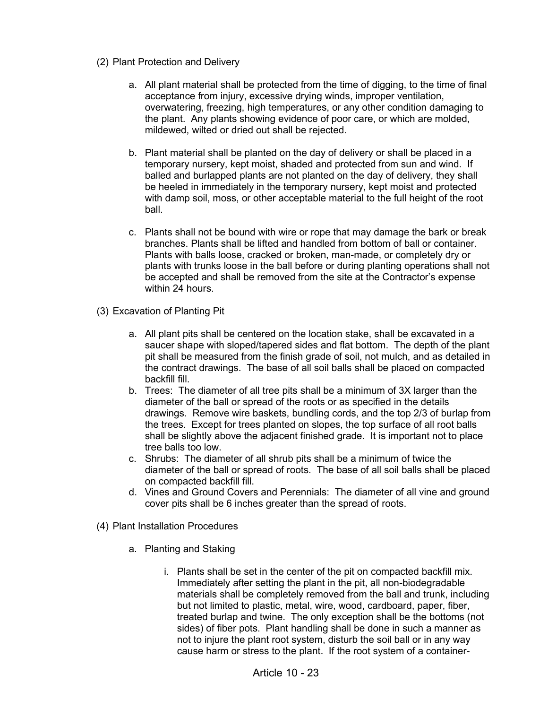## (2) Plant Protection and Delivery

- a. All plant material shall be protected from the time of digging, to the time of final acceptance from injury, excessive drying winds, improper ventilation, overwatering, freezing, high temperatures, or any other condition damaging to the plant. Any plants showing evidence of poor care, or which are molded, mildewed, wilted or dried out shall be rejected.
- b. Plant material shall be planted on the day of delivery or shall be placed in a temporary nursery, kept moist, shaded and protected from sun and wind. If balled and burlapped plants are not planted on the day of delivery, they shall be heeled in immediately in the temporary nursery, kept moist and protected with damp soil, moss, or other acceptable material to the full height of the root ball.
- c. Plants shall not be bound with wire or rope that may damage the bark or break branches. Plants shall be lifted and handled from bottom of ball or container. Plants with balls loose, cracked or broken, man-made, or completely dry or plants with trunks loose in the ball before or during planting operations shall not be accepted and shall be removed from the site at the Contractor's expense within 24 hours.
- (3) Excavation of Planting Pit
	- a. All plant pits shall be centered on the location stake, shall be excavated in a saucer shape with sloped/tapered sides and flat bottom. The depth of the plant pit shall be measured from the finish grade of soil, not mulch, and as detailed in the contract drawings. The base of all soil balls shall be placed on compacted backfill fill.
	- b. Trees: The diameter of all tree pits shall be a minimum of 3X larger than the diameter of the ball or spread of the roots or as specified in the details drawings. Remove wire baskets, bundling cords, and the top 2/3 of burlap from the trees. Except for trees planted on slopes, the top surface of all root balls shall be slightly above the adjacent finished grade. It is important not to place tree balls too low.
	- c. Shrubs: The diameter of all shrub pits shall be a minimum of twice the diameter of the ball or spread of roots. The base of all soil balls shall be placed on compacted backfill fill.
	- d. Vines and Ground Covers and Perennials: The diameter of all vine and ground cover pits shall be 6 inches greater than the spread of roots.
- (4) Plant Installation Procedures
	- a. Planting and Staking
		- i. Plants shall be set in the center of the pit on compacted backfill mix. Immediately after setting the plant in the pit, all non-biodegradable materials shall be completely removed from the ball and trunk, including but not limited to plastic, metal, wire, wood, cardboard, paper, fiber, treated burlap and twine. The only exception shall be the bottoms (not sides) of fiber pots. Plant handling shall be done in such a manner as not to injure the plant root system, disturb the soil ball or in any way cause harm or stress to the plant. If the root system of a container-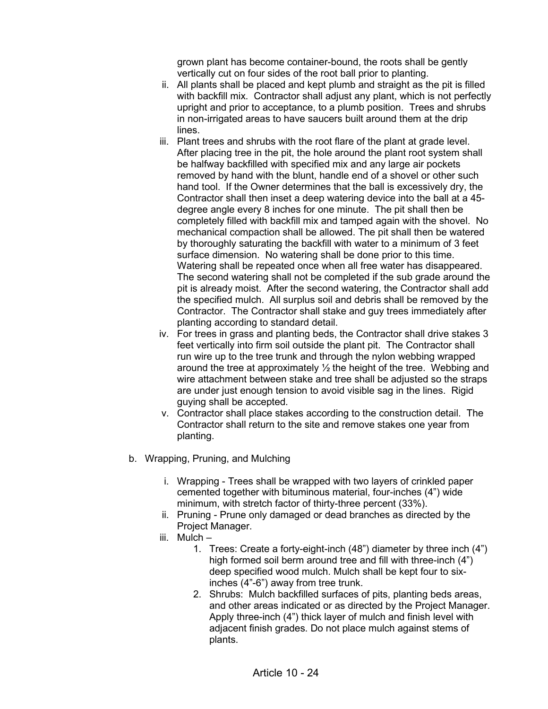grown plant has become container-bound, the roots shall be gently vertically cut on four sides of the root ball prior to planting.

- ii. All plants shall be placed and kept plumb and straight as the pit is filled with backfill mix. Contractor shall adjust any plant, which is not perfectly upright and prior to acceptance, to a plumb position. Trees and shrubs in non-irrigated areas to have saucers built around them at the drip lines.
- iii. Plant trees and shrubs with the root flare of the plant at grade level. After placing tree in the pit, the hole around the plant root system shall be halfway backfilled with specified mix and any large air pockets removed by hand with the blunt, handle end of a shovel or other such hand tool. If the Owner determines that the ball is excessively dry, the Contractor shall then inset a deep watering device into the ball at a 45 degree angle every 8 inches for one minute. The pit shall then be completely filled with backfill mix and tamped again with the shovel. No mechanical compaction shall be allowed. The pit shall then be watered by thoroughly saturating the backfill with water to a minimum of 3 feet surface dimension. No watering shall be done prior to this time. Watering shall be repeated once when all free water has disappeared. The second watering shall not be completed if the sub grade around the pit is already moist. After the second watering, the Contractor shall add the specified mulch. All surplus soil and debris shall be removed by the Contractor. The Contractor shall stake and guy trees immediately after planting according to standard detail.
- iv. For trees in grass and planting beds, the Contractor shall drive stakes 3 feet vertically into firm soil outside the plant pit. The Contractor shall run wire up to the tree trunk and through the nylon webbing wrapped around the tree at approximately  $\frac{1}{2}$  the height of the tree. Webbing and wire attachment between stake and tree shall be adjusted so the straps are under just enough tension to avoid visible sag in the lines. Rigid guying shall be accepted.
- v. Contractor shall place stakes according to the construction detail. The Contractor shall return to the site and remove stakes one year from planting.
- b. Wrapping, Pruning, and Mulching
	- i. Wrapping Trees shall be wrapped with two layers of crinkled paper cemented together with bituminous material, four-inches (4") wide minimum, with stretch factor of thirty-three percent (33%).
	- ii. Pruning Prune only damaged or dead branches as directed by the Project Manager.
	- iii. Mulch
		- 1. Trees: Create a forty-eight-inch (48") diameter by three inch (4") high formed soil berm around tree and fill with three-inch (4") deep specified wood mulch. Mulch shall be kept four to sixinches (4"-6") away from tree trunk.
		- 2. Shrubs: Mulch backfilled surfaces of pits, planting beds areas, and other areas indicated or as directed by the Project Manager. Apply three-inch (4") thick layer of mulch and finish level with adjacent finish grades. Do not place mulch against stems of plants.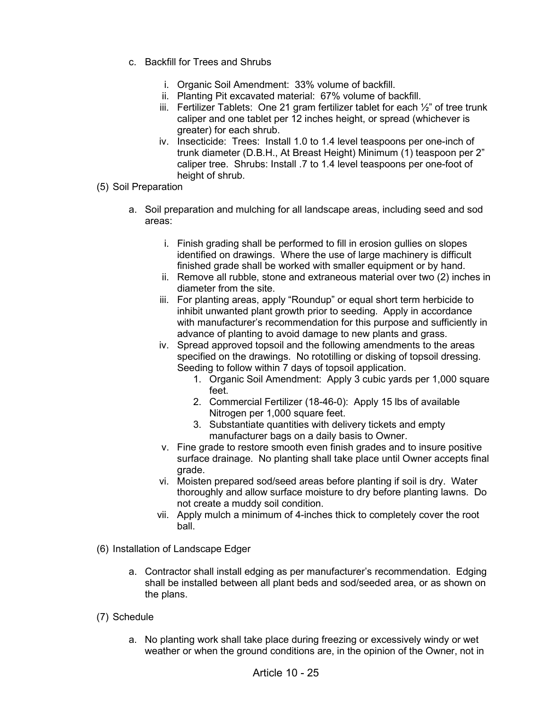- c. Backfill for Trees and Shrubs
	- i. Organic Soil Amendment: 33% volume of backfill.
	- ii. Planting Pit excavated material: 67% volume of backfill.
	- iii. Fertilizer Tablets: One 21 gram fertilizer tablet for each  $\frac{1}{2}$ " of tree trunk caliper and one tablet per 12 inches height, or spread (whichever is greater) for each shrub.
	- iv. Insecticide: Trees: Install 1.0 to 1.4 level teaspoons per one-inch of trunk diameter (D.B.H., At Breast Height) Minimum (1) teaspoon per 2" caliper tree. Shrubs: Install .7 to 1.4 level teaspoons per one-foot of height of shrub.
- (5) Soil Preparation
	- a. Soil preparation and mulching for all landscape areas, including seed and sod areas:
		- i. Finish grading shall be performed to fill in erosion gullies on slopes identified on drawings. Where the use of large machinery is difficult finished grade shall be worked with smaller equipment or by hand.
		- ii. Remove all rubble, stone and extraneous material over two (2) inches in diameter from the site.
		- iii. For planting areas, apply "Roundup" or equal short term herbicide to inhibit unwanted plant growth prior to seeding. Apply in accordance with manufacturer's recommendation for this purpose and sufficiently in advance of planting to avoid damage to new plants and grass.
		- iv. Spread approved topsoil and the following amendments to the areas specified on the drawings. No rototilling or disking of topsoil dressing. Seeding to follow within 7 days of topsoil application.
			- 1. Organic Soil Amendment: Apply 3 cubic yards per 1,000 square feet.
			- 2. Commercial Fertilizer (18-46-0): Apply 15 lbs of available Nitrogen per 1,000 square feet.
			- 3. Substantiate quantities with delivery tickets and empty manufacturer bags on a daily basis to Owner.
		- v. Fine grade to restore smooth even finish grades and to insure positive surface drainage. No planting shall take place until Owner accepts final grade.
		- vi. Moisten prepared sod/seed areas before planting if soil is dry. Water thoroughly and allow surface moisture to dry before planting lawns. Do not create a muddy soil condition.
		- vii. Apply mulch a minimum of 4-inches thick to completely cover the root ball.
- (6) Installation of Landscape Edger
	- a. Contractor shall install edging as per manufacturer's recommendation. Edging shall be installed between all plant beds and sod/seeded area, or as shown on the plans.
- (7) Schedule
	- a. No planting work shall take place during freezing or excessively windy or wet weather or when the ground conditions are, in the opinion of the Owner, not in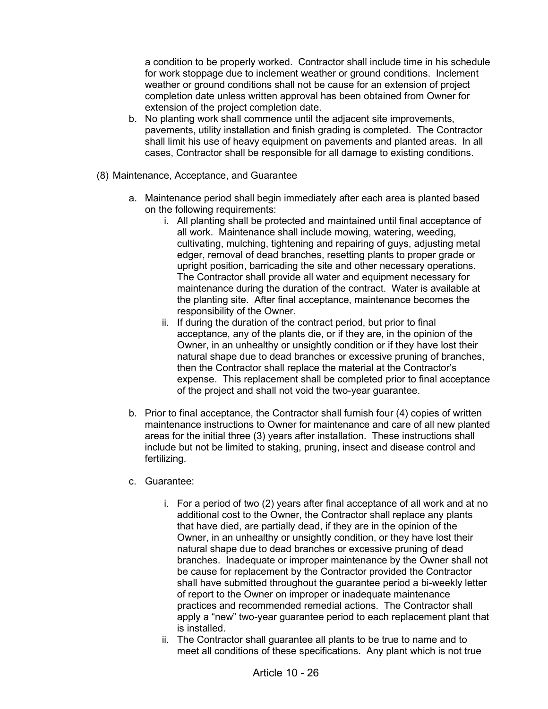a condition to be properly worked. Contractor shall include time in his schedule for work stoppage due to inclement weather or ground conditions. Inclement weather or ground conditions shall not be cause for an extension of project completion date unless written approval has been obtained from Owner for extension of the project completion date.

- b. No planting work shall commence until the adjacent site improvements, pavements, utility installation and finish grading is completed. The Contractor shall limit his use of heavy equipment on pavements and planted areas. In all cases, Contractor shall be responsible for all damage to existing conditions.
- (8) Maintenance, Acceptance, and Guarantee
	- a. Maintenance period shall begin immediately after each area is planted based on the following requirements:
		- i. All planting shall be protected and maintained until final acceptance of all work. Maintenance shall include mowing, watering, weeding, cultivating, mulching, tightening and repairing of guys, adjusting metal edger, removal of dead branches, resetting plants to proper grade or upright position, barricading the site and other necessary operations. The Contractor shall provide all water and equipment necessary for maintenance during the duration of the contract. Water is available at the planting site. After final acceptance, maintenance becomes the responsibility of the Owner.
		- ii. If during the duration of the contract period, but prior to final acceptance, any of the plants die, or if they are, in the opinion of the Owner, in an unhealthy or unsightly condition or if they have lost their natural shape due to dead branches or excessive pruning of branches, then the Contractor shall replace the material at the Contractor's expense. This replacement shall be completed prior to final acceptance of the project and shall not void the two-year guarantee.
	- b. Prior to final acceptance, the Contractor shall furnish four (4) copies of written maintenance instructions to Owner for maintenance and care of all new planted areas for the initial three (3) years after installation. These instructions shall include but not be limited to staking, pruning, insect and disease control and fertilizing.
	- c. Guarantee:
		- i. For a period of two (2) years after final acceptance of all work and at no additional cost to the Owner, the Contractor shall replace any plants that have died, are partially dead, if they are in the opinion of the Owner, in an unhealthy or unsightly condition, or they have lost their natural shape due to dead branches or excessive pruning of dead branches. Inadequate or improper maintenance by the Owner shall not be cause for replacement by the Contractor provided the Contractor shall have submitted throughout the guarantee period a bi-weekly letter of report to the Owner on improper or inadequate maintenance practices and recommended remedial actions. The Contractor shall apply a "new" two-year guarantee period to each replacement plant that is installed.
		- ii. The Contractor shall guarantee all plants to be true to name and to meet all conditions of these specifications. Any plant which is not true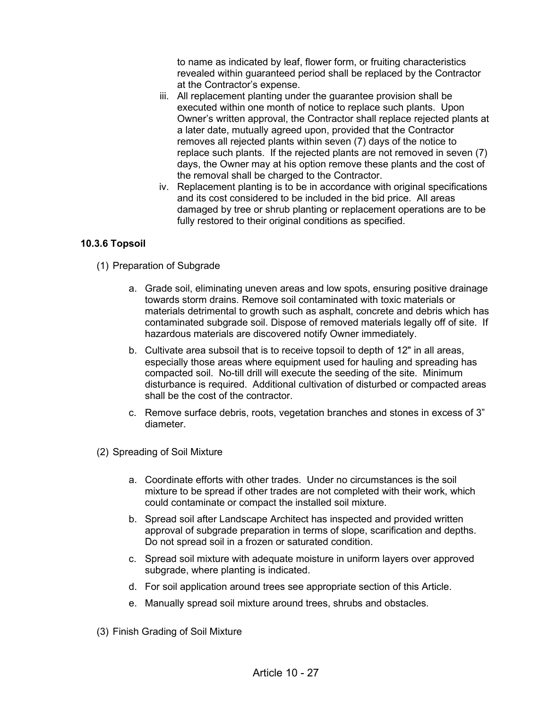to name as indicated by leaf, flower form, or fruiting characteristics revealed within guaranteed period shall be replaced by the Contractor at the Contractor's expense.

- iii. All replacement planting under the guarantee provision shall be executed within one month of notice to replace such plants. Upon Owner's written approval, the Contractor shall replace rejected plants at a later date, mutually agreed upon, provided that the Contractor removes all rejected plants within seven (7) days of the notice to replace such plants. If the rejected plants are not removed in seven (7) days, the Owner may at his option remove these plants and the cost of the removal shall be charged to the Contractor.
- iv. Replacement planting is to be in accordance with original specifications and its cost considered to be included in the bid price. All areas damaged by tree or shrub planting or replacement operations are to be fully restored to their original conditions as specified.

## **10.3.6 Topsoil**

- (1) Preparation of Subgrade
	- a. Grade soil, eliminating uneven areas and low spots, ensuring positive drainage towards storm drains. Remove soil contaminated with toxic materials or materials detrimental to growth such as asphalt, concrete and debris which has contaminated subgrade soil. Dispose of removed materials legally off of site. If hazardous materials are discovered notify Owner immediately.
	- b. Cultivate area subsoil that is to receive topsoil to depth of 12" in all areas, especially those areas where equipment used for hauling and spreading has compacted soil. No-till drill will execute the seeding of the site. Minimum disturbance is required. Additional cultivation of disturbed or compacted areas shall be the cost of the contractor.
	- c. Remove surface debris, roots, vegetation branches and stones in excess of 3" diameter.
- (2) Spreading of Soil Mixture
	- a. Coordinate efforts with other trades. Under no circumstances is the soil mixture to be spread if other trades are not completed with their work, which could contaminate or compact the installed soil mixture.
	- b. Spread soil after Landscape Architect has inspected and provided written approval of subgrade preparation in terms of slope, scarification and depths. Do not spread soil in a frozen or saturated condition.
	- c. Spread soil mixture with adequate moisture in uniform layers over approved subgrade, where planting is indicated.
	- d. For soil application around trees see appropriate section of this Article.
	- e. Manually spread soil mixture around trees, shrubs and obstacles.
- (3) Finish Grading of Soil Mixture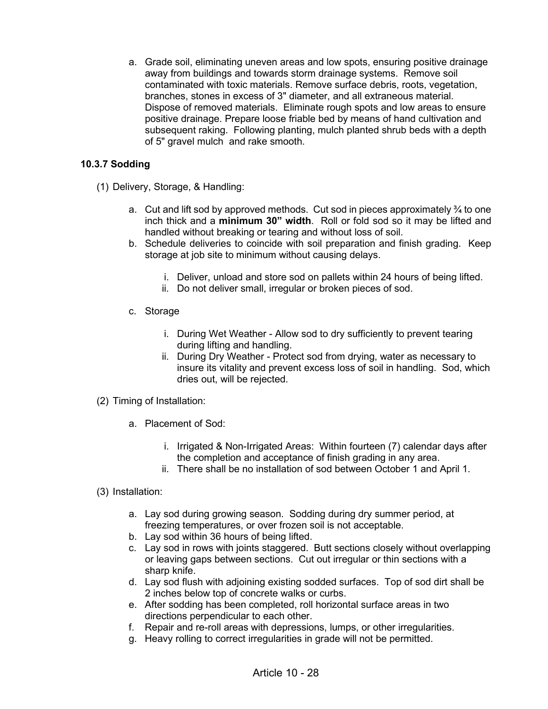a. Grade soil, eliminating uneven areas and low spots, ensuring positive drainage away from buildings and towards storm drainage systems. Remove soil contaminated with toxic materials. Remove surface debris, roots, vegetation, branches, stones in excess of 3" diameter, and all extraneous material. Dispose of removed materials. Eliminate rough spots and low areas to ensure positive drainage. Prepare loose friable bed by means of hand cultivation and subsequent raking. Following planting, mulch planted shrub beds with a depth of 5" gravel mulch and rake smooth.

# **10.3.7 Sodding**

(1) Delivery, Storage, & Handling:

- a. Cut and lift sod by approved methods. Cut sod in pieces approximately  $\frac{3}{4}$  to one inch thick and a **minimum 30" width**. Roll or fold sod so it may be lifted and handled without breaking or tearing and without loss of soil.
- b. Schedule deliveries to coincide with soil preparation and finish grading. Keep storage at job site to minimum without causing delays.
	- i. Deliver, unload and store sod on pallets within 24 hours of being lifted.
	- ii. Do not deliver small, irregular or broken pieces of sod.
- c. Storage
	- i. During Wet Weather Allow sod to dry sufficiently to prevent tearing during lifting and handling.
	- ii. During Dry Weather Protect sod from drying, water as necessary to insure its vitality and prevent excess loss of soil in handling. Sod, which dries out, will be rejected.
- (2) Timing of Installation:
	- a. Placement of Sod:
		- i. Irrigated & Non-Irrigated Areas: Within fourteen (7) calendar days after the completion and acceptance of finish grading in any area.
		- ii. There shall be no installation of sod between October 1 and April 1.

(3) Installation:

- a. Lay sod during growing season. Sodding during dry summer period, at freezing temperatures, or over frozen soil is not acceptable.
- b. Lay sod within 36 hours of being lifted.
- c. Lay sod in rows with joints staggered. Butt sections closely without overlapping or leaving gaps between sections. Cut out irregular or thin sections with a sharp knife.
- d. Lay sod flush with adjoining existing sodded surfaces. Top of sod dirt shall be 2 inches below top of concrete walks or curbs.
- e. After sodding has been completed, roll horizontal surface areas in two directions perpendicular to each other.
- f. Repair and re-roll areas with depressions, lumps, or other irregularities.
- g. Heavy rolling to correct irregularities in grade will not be permitted.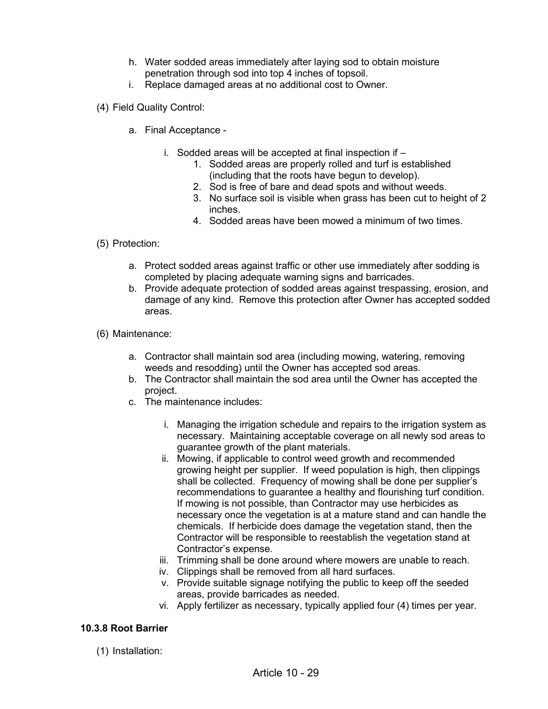- h. Water sodded areas immediately after laying sod to obtain moisture penetration through sod into top 4 inches of topsoil.
- i. Replace damaged areas at no additional cost to Owner.
- (4) Field Quality Control:
	- a. Final Acceptance
		- i. Sodded areas will be accepted at final inspection if
			- 1. Sodded areas are properly rolled and turf is established (including that the roots have begun to develop).
			- 2. Sod is free of bare and dead spots and without weeds.
			- 3. No surface soil is visible when grass has been cut to height of 2 inches.
			- 4. Sodded areas have been mowed a minimum of two times.

#### (5) Protection:

- a. Protect sodded areas against traffic or other use immediately after sodding is completed by placing adequate warning signs and barricades.
- b. Provide adequate protection of sodded areas against trespassing, erosion, and damage of any kind. Remove this protection after Owner has accepted sodded areas.
- (6) Maintenance:
	- a. Contractor shall maintain sod area (including mowing, watering, removing weeds and resodding) until the Owner has accepted sod areas.
	- b. The Contractor shall maintain the sod area until the Owner has accepted the project.
	- c. The maintenance includes:
		- i. Managing the irrigation schedule and repairs to the irrigation system as necessary. Maintaining acceptable coverage on all newly sod areas to guarantee growth of the plant materials.
		- ii. Mowing, if applicable to control weed growth and recommended growing height per supplier. If weed population is high, then clippings shall be collected. Frequency of mowing shall be done per supplier's recommendations to guarantee a healthy and flourishing turf condition. If mowing is not possible, than Contractor may use herbicides as necessary once the vegetation is at a mature stand and can handle the chemicals. If herbicide does damage the vegetation stand, then the Contractor will be responsible to reestablish the vegetation stand at Contractor's expense.
		- iii. Trimming shall be done around where mowers are unable to reach.
		- iv. Clippings shall be removed from all hard surfaces.
		- v. Provide suitable signage notifying the public to keep off the seeded areas, provide barricades as needed.
		- vi. Apply fertilizer as necessary, typically applied four (4) times per year.

## **10.3.8 Root Barrier**

(1) Installation: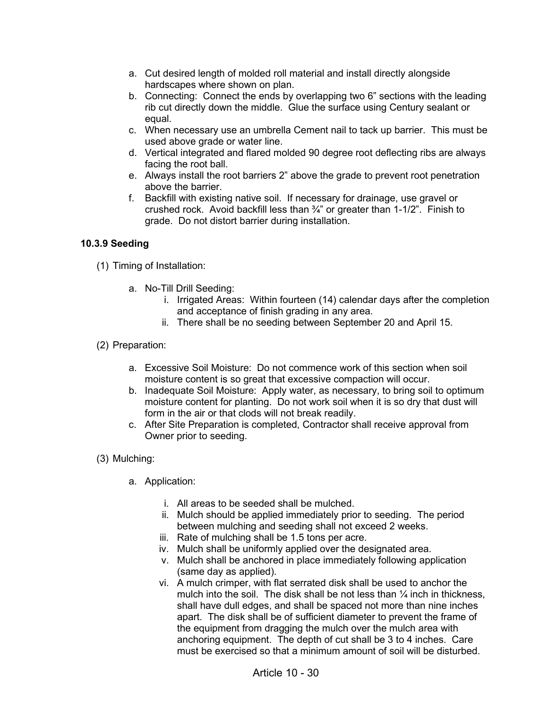- a. Cut desired length of molded roll material and install directly alongside hardscapes where shown on plan.
- b. Connecting: Connect the ends by overlapping two 6" sections with the leading rib cut directly down the middle. Glue the surface using Century sealant or equal.
- c. When necessary use an umbrella Cement nail to tack up barrier. This must be used above grade or water line.
- d. Vertical integrated and flared molded 90 degree root deflecting ribs are always facing the root ball.
- e. Always install the root barriers 2" above the grade to prevent root penetration above the barrier.
- f. Backfill with existing native soil. If necessary for drainage, use gravel or crushed rock. Avoid backfill less than ¾" or greater than 1-1/2". Finish to grade. Do not distort barrier during installation.

## **10.3.9 Seeding**

(1) Timing of Installation:

- a. No-Till Drill Seeding:
	- i. Irrigated Areas: Within fourteen (14) calendar days after the completion and acceptance of finish grading in any area.
	- ii. There shall be no seeding between September 20 and April 15.
- (2) Preparation:
	- a. Excessive Soil Moisture: Do not commence work of this section when soil moisture content is so great that excessive compaction will occur.
	- b. Inadequate Soil Moisture: Apply water, as necessary, to bring soil to optimum moisture content for planting. Do not work soil when it is so dry that dust will form in the air or that clods will not break readily.
	- c. After Site Preparation is completed, Contractor shall receive approval from Owner prior to seeding.
- (3) Mulching:
	- a. Application:
		- i. All areas to be seeded shall be mulched.
		- ii. Mulch should be applied immediately prior to seeding. The period between mulching and seeding shall not exceed 2 weeks.
		- iii. Rate of mulching shall be 1.5 tons per acre.
		- iv. Mulch shall be uniformly applied over the designated area.
		- v. Mulch shall be anchored in place immediately following application (same day as applied).
		- vi. A mulch crimper, with flat serrated disk shall be used to anchor the mulch into the soil. The disk shall be not less than  $\frac{1}{4}$  inch in thickness, shall have dull edges, and shall be spaced not more than nine inches apart. The disk shall be of sufficient diameter to prevent the frame of the equipment from dragging the mulch over the mulch area with anchoring equipment. The depth of cut shall be 3 to 4 inches. Care must be exercised so that a minimum amount of soil will be disturbed.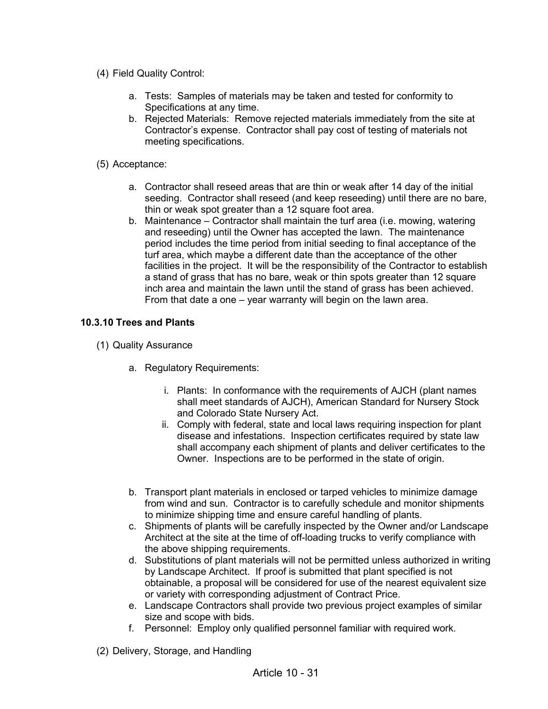- (4) Field Quality Control:
	- a. Tests: Samples of materials may be taken and tested for conformity to Specifications at any time.
	- b. Rejected Materials: Remove rejected materials immediately from the site at Contractor's expense. Contractor shall pay cost of testing of materials not meeting specifications.
- (5) Acceptance:
	- a. Contractor shall reseed areas that are thin or weak after 14 day of the initial seeding. Contractor shall reseed (and keep reseeding) until there are no bare, thin or weak spot greater than a 12 square foot area.
	- b. Maintenance Contractor shall maintain the turf area (i.e. mowing, watering and reseeding) until the Owner has accepted the lawn. The maintenance period includes the time period from initial seeding to final acceptance of the turf area, which maybe a different date than the acceptance of the other facilities in the project. It will be the responsibility of the Contractor to establish a stand of grass that has no bare, weak or thin spots greater than 12 square inch area and maintain the lawn until the stand of grass has been achieved. From that date a one – year warranty will begin on the lawn area.

# **10.3.10 Trees and Plants**

- (1) Quality Assurance
	- a. Regulatory Requirements:
		- i. Plants: In conformance with the requirements of AJCH (plant names shall meet standards of AJCH), American Standard for Nursery Stock and Colorado State Nursery Act.
		- ii. Comply with federal, state and local laws requiring inspection for plant disease and infestations. Inspection certificates required by state law shall accompany each shipment of plants and deliver certificates to the Owner. Inspections are to be performed in the state of origin.
	- b. Transport plant materials in enclosed or tarped vehicles to minimize damage from wind and sun. Contractor is to carefully schedule and monitor shipments to minimize shipping time and ensure careful handling of plants.
	- c. Shipments of plants will be carefully inspected by the Owner and/or Landscape Architect at the site at the time of off-loading trucks to verify compliance with the above shipping requirements.
	- d. Substitutions of plant materials will not be permitted unless authorized in writing by Landscape Architect. If proof is submitted that plant specified is not obtainable, a proposal will be considered for use of the nearest equivalent size or variety with corresponding adjustment of Contract Price.
	- e. Landscape Contractors shall provide two previous project examples of similar size and scope with bids.
	- f. Personnel: Employ only qualified personnel familiar with required work.
- (2) Delivery, Storage, and Handling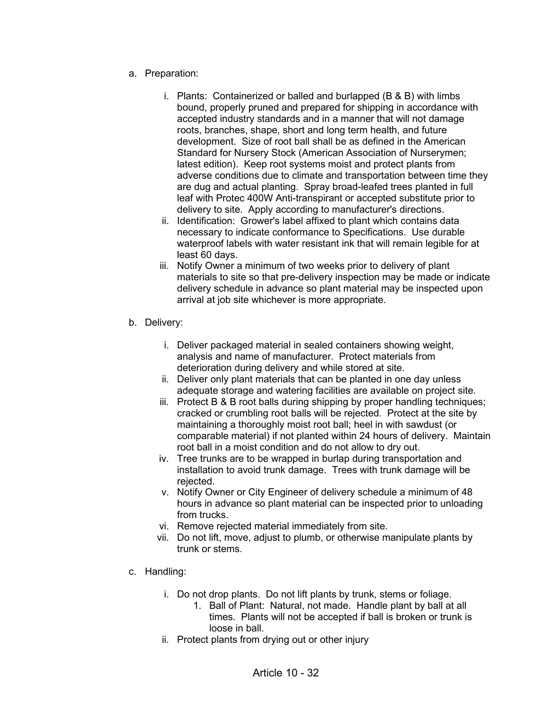- a. Preparation:
	- i. Plants: Containerized or balled and burlapped (B & B) with limbs bound, properly pruned and prepared for shipping in accordance with accepted industry standards and in a manner that will not damage roots, branches, shape, short and long term health, and future development. Size of root ball shall be as defined in the American Standard for Nursery Stock (American Association of Nurserymen; latest edition). Keep root systems moist and protect plants from adverse conditions due to climate and transportation between time they are dug and actual planting. Spray broad-leafed trees planted in full leaf with Protec 400W Anti-transpirant or accepted substitute prior to delivery to site. Apply according to manufacturer's directions.
	- ii. Identification: Grower's label affixed to plant which contains data necessary to indicate conformance to Specifications. Use durable waterproof labels with water resistant ink that will remain legible for at least 60 days.
	- iii. Notify Owner a minimum of two weeks prior to delivery of plant materials to site so that pre-delivery inspection may be made or indicate delivery schedule in advance so plant material may be inspected upon arrival at job site whichever is more appropriate.
- b. Delivery:
	- i. Deliver packaged material in sealed containers showing weight, analysis and name of manufacturer. Protect materials from deterioration during delivery and while stored at site.
	- ii. Deliver only plant materials that can be planted in one day unless adequate storage and watering facilities are available on project site.
	- iii. Protect B & B root balls during shipping by proper handling techniques; cracked or crumbling root balls will be rejected. Protect at the site by maintaining a thoroughly moist root ball; heel in with sawdust (or comparable material) if not planted within 24 hours of delivery. Maintain root ball in a moist condition and do not allow to dry out.
	- iv. Tree trunks are to be wrapped in burlap during transportation and installation to avoid trunk damage. Trees with trunk damage will be rejected.
	- v. Notify Owner or City Engineer of delivery schedule a minimum of 48 hours in advance so plant material can be inspected prior to unloading from trucks.
	- vi. Remove rejected material immediately from site.
	- vii. Do not lift, move, adjust to plumb, or otherwise manipulate plants by trunk or stems.
- c. Handling:
	- i. Do not drop plants. Do not lift plants by trunk, stems or foliage.
		- 1. Ball of Plant: Natural, not made. Handle plant by ball at all times. Plants will not be accepted if ball is broken or trunk is loose in ball.
	- ii. Protect plants from drying out or other injury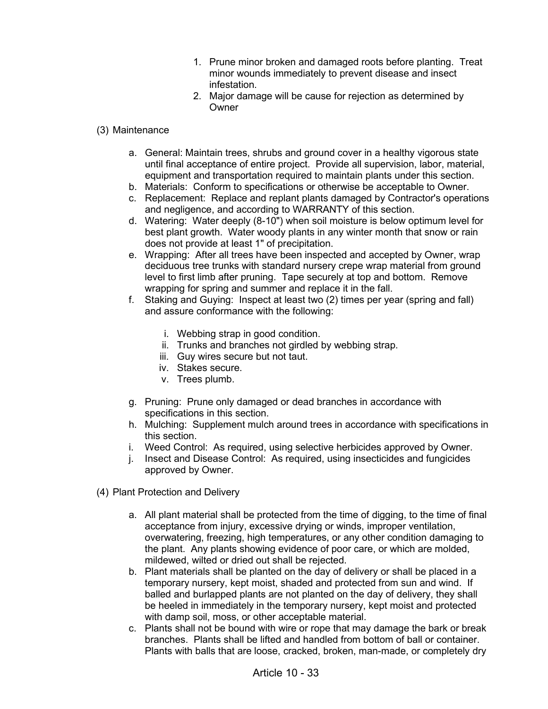- 1. Prune minor broken and damaged roots before planting. Treat minor wounds immediately to prevent disease and insect infestation.
- 2. Major damage will be cause for rejection as determined by **Owner**

## (3) Maintenance

- a. General: Maintain trees, shrubs and ground cover in a healthy vigorous state until final acceptance of entire project. Provide all supervision, labor, material, equipment and transportation required to maintain plants under this section.
- b. Materials: Conform to specifications or otherwise be acceptable to Owner.
- c. Replacement: Replace and replant plants damaged by Contractor's operations and negligence, and according to WARRANTY of this section.
- d. Watering: Water deeply (8-10") when soil moisture is below optimum level for best plant growth. Water woody plants in any winter month that snow or rain does not provide at least 1" of precipitation.
- e. Wrapping: After all trees have been inspected and accepted by Owner, wrap deciduous tree trunks with standard nursery crepe wrap material from ground level to first limb after pruning. Tape securely at top and bottom. Remove wrapping for spring and summer and replace it in the fall.
- f. Staking and Guying: Inspect at least two (2) times per year (spring and fall) and assure conformance with the following:
	- i. Webbing strap in good condition.
	- ii. Trunks and branches not girdled by webbing strap.
	- iii. Guy wires secure but not taut.
	- iv. Stakes secure.
	- v. Trees plumb.
- g. Pruning: Prune only damaged or dead branches in accordance with specifications in this section.
- h. Mulching: Supplement mulch around trees in accordance with specifications in this section.
- i. Weed Control: As required, using selective herbicides approved by Owner.
- j. Insect and Disease Control: As required, using insecticides and fungicides approved by Owner.
- (4) Plant Protection and Delivery
	- a. All plant material shall be protected from the time of digging, to the time of final acceptance from injury, excessive drying or winds, improper ventilation, overwatering, freezing, high temperatures, or any other condition damaging to the plant. Any plants showing evidence of poor care, or which are molded, mildewed, wilted or dried out shall be rejected.
	- b. Plant materials shall be planted on the day of delivery or shall be placed in a temporary nursery, kept moist, shaded and protected from sun and wind. If balled and burlapped plants are not planted on the day of delivery, they shall be heeled in immediately in the temporary nursery, kept moist and protected with damp soil, moss, or other acceptable material.
	- c. Plants shall not be bound with wire or rope that may damage the bark or break branches. Plants shall be lifted and handled from bottom of ball or container. Plants with balls that are loose, cracked, broken, man-made, or completely dry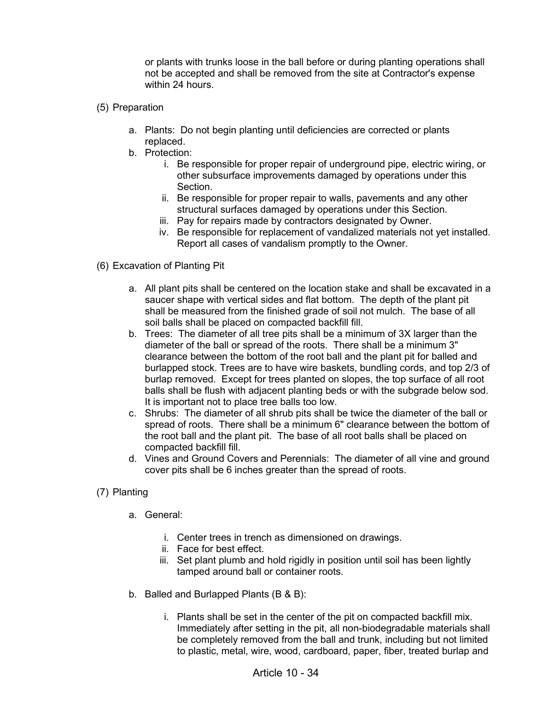or plants with trunks loose in the ball before or during planting operations shall not be accepted and shall be removed from the site at Contractor's expense within 24 hours.

- (5) Preparation
	- a. Plants: Do not begin planting until deficiencies are corrected or plants replaced.
	- b. Protection:
		- i. Be responsible for proper repair of underground pipe, electric wiring, or other subsurface improvements damaged by operations under this Section.
		- ii. Be responsible for proper repair to walls, pavements and any other structural surfaces damaged by operations under this Section.
		- iii. Pay for repairs made by contractors designated by Owner.
		- iv. Be responsible for replacement of vandalized materials not yet installed. Report all cases of vandalism promptly to the Owner.
- (6) Excavation of Planting Pit
	- a. All plant pits shall be centered on the location stake and shall be excavated in a saucer shape with vertical sides and flat bottom. The depth of the plant pit shall be measured from the finished grade of soil not mulch. The base of all soil balls shall be placed on compacted backfill fill.
	- b. Trees: The diameter of all tree pits shall be a minimum of 3X larger than the diameter of the ball or spread of the roots. There shall be a minimum 3" clearance between the bottom of the root ball and the plant pit for balled and burlapped stock. Trees are to have wire baskets, bundling cords, and top 2/3 of burlap removed. Except for trees planted on slopes, the top surface of all root balls shall be flush with adjacent planting beds or with the subgrade below sod. It is important not to place tree balls too low.
	- c. Shrubs: The diameter of all shrub pits shall be twice the diameter of the ball or spread of roots. There shall be a minimum 6" clearance between the bottom of the root ball and the plant pit. The base of all root balls shall be placed on compacted backfill fill.
	- d. Vines and Ground Covers and Perennials: The diameter of all vine and ground cover pits shall be 6 inches greater than the spread of roots.
- (7) Planting
	- a. General:
		- i. Center trees in trench as dimensioned on drawings.
		- ii. Face for best effect.
		- iii. Set plant plumb and hold rigidly in position until soil has been lightly tamped around ball or container roots.
	- b. Balled and Burlapped Plants (B & B):
		- i. Plants shall be set in the center of the pit on compacted backfill mix. Immediately after setting in the pit, all non-biodegradable materials shall be completely removed from the ball and trunk, including but not limited to plastic, metal, wire, wood, cardboard, paper, fiber, treated burlap and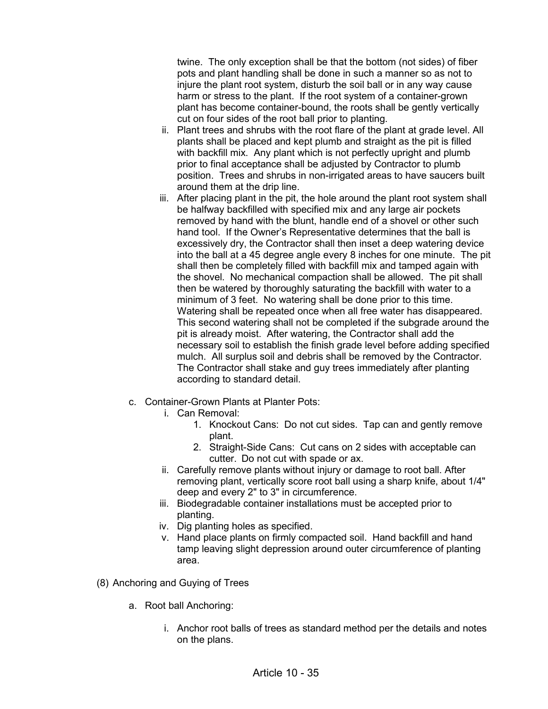twine. The only exception shall be that the bottom (not sides) of fiber pots and plant handling shall be done in such a manner so as not to injure the plant root system, disturb the soil ball or in any way cause harm or stress to the plant. If the root system of a container-grown plant has become container-bound, the roots shall be gently vertically cut on four sides of the root ball prior to planting.

- ii. Plant trees and shrubs with the root flare of the plant at grade level. All plants shall be placed and kept plumb and straight as the pit is filled with backfill mix. Any plant which is not perfectly upright and plumb prior to final acceptance shall be adjusted by Contractor to plumb position. Trees and shrubs in non-irrigated areas to have saucers built around them at the drip line.
- iii. After placing plant in the pit, the hole around the plant root system shall be halfway backfilled with specified mix and any large air pockets removed by hand with the blunt, handle end of a shovel or other such hand tool. If the Owner's Representative determines that the ball is excessively dry, the Contractor shall then inset a deep watering device into the ball at a 45 degree angle every 8 inches for one minute. The pit shall then be completely filled with backfill mix and tamped again with the shovel. No mechanical compaction shall be allowed. The pit shall then be watered by thoroughly saturating the backfill with water to a minimum of 3 feet. No watering shall be done prior to this time. Watering shall be repeated once when all free water has disappeared. This second watering shall not be completed if the subgrade around the pit is already moist. After watering, the Contractor shall add the necessary soil to establish the finish grade level before adding specified mulch. All surplus soil and debris shall be removed by the Contractor. The Contractor shall stake and guy trees immediately after planting according to standard detail.
- c. Container-Grown Plants at Planter Pots:
	- i. Can Removal:
		- 1. Knockout Cans: Do not cut sides. Tap can and gently remove plant.
		- 2. Straight-Side Cans: Cut cans on 2 sides with acceptable can cutter. Do not cut with spade or ax.
	- ii. Carefully remove plants without injury or damage to root ball. After removing plant, vertically score root ball using a sharp knife, about 1/4" deep and every 2" to 3" in circumference.
	- iii. Biodegradable container installations must be accepted prior to planting.
	- iv. Dig planting holes as specified.
	- v. Hand place plants on firmly compacted soil. Hand backfill and hand tamp leaving slight depression around outer circumference of planting area.
- (8) Anchoring and Guying of Trees
	- a. Root ball Anchoring:
		- i. Anchor root balls of trees as standard method per the details and notes on the plans.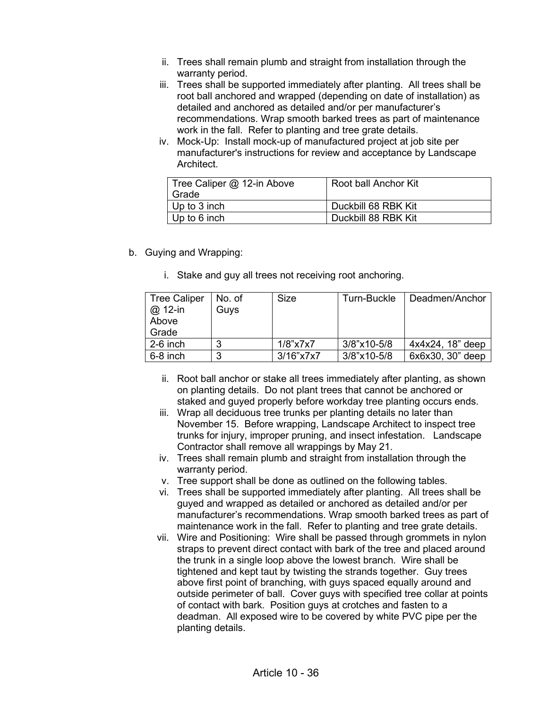- ii. Trees shall remain plumb and straight from installation through the warranty period.
- iii. Trees shall be supported immediately after planting. All trees shall be root ball anchored and wrapped (depending on date of installation) as detailed and anchored as detailed and/or per manufacturer's recommendations. Wrap smooth barked trees as part of maintenance work in the fall. Refer to planting and tree grate details.
- iv. Mock-Up: Install mock-up of manufactured project at job site per manufacturer's instructions for review and acceptance by Landscape Architect.

| Tree Caliper @ 12-in Above<br>Grade | Root ball Anchor Kit |
|-------------------------------------|----------------------|
| Up to $3$ inch                      | Duckbill 68 RBK Kit  |
| Up to $6$ inch                      | Duckbill 88 RBK Kit  |

#### b. Guying and Wrapping:

i. Stake and guy all trees not receiving root anchoring.

| <b>Tree Caliper</b><br>$@$ 12-in<br>Above | No. of<br>Guys | Size                | Turn-Buckle    | Deadmen/Anchor         |
|-------------------------------------------|----------------|---------------------|----------------|------------------------|
| Grade                                     |                |                     |                |                        |
| $2-6$ inch                                | ≏              | $1/8"$ x $7$ x $7$  | $3/8$ "x10-5/8 | $4x4x24$ , $18$ " deep |
| 6-8 inch                                  | ົ              | $3/16"$ x $7$ x $7$ | 3/8"x10-5/8    | 6x6x30, 30" deep       |

- ii. Root ball anchor or stake all trees immediately after planting, as shown on planting details. Do not plant trees that cannot be anchored or staked and guyed properly before workday tree planting occurs ends.
- iii. Wrap all deciduous tree trunks per planting details no later than November 15. Before wrapping, Landscape Architect to inspect tree trunks for injury, improper pruning, and insect infestation. Landscape Contractor shall remove all wrappings by May 21.
- iv. Trees shall remain plumb and straight from installation through the warranty period.
- v. Tree support shall be done as outlined on the following tables.
- vi. Trees shall be supported immediately after planting. All trees shall be guyed and wrapped as detailed or anchored as detailed and/or per manufacturer's recommendations. Wrap smooth barked trees as part of maintenance work in the fall. Refer to planting and tree grate details.
- vii. Wire and Positioning: Wire shall be passed through grommets in nylon straps to prevent direct contact with bark of the tree and placed around the trunk in a single loop above the lowest branch. Wire shall be tightened and kept taut by twisting the strands together. Guy trees above first point of branching, with guys spaced equally around and outside perimeter of ball. Cover guys with specified tree collar at points of contact with bark. Position guys at crotches and fasten to a deadman. All exposed wire to be covered by white PVC pipe per the planting details.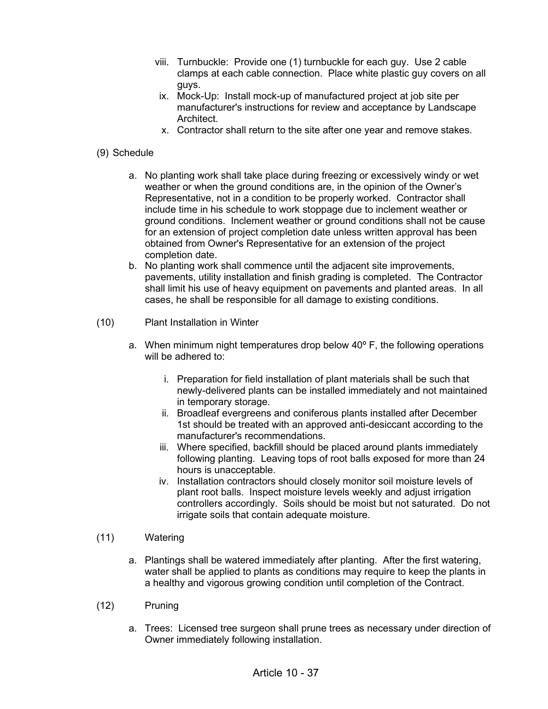- viii. Turnbuckle: Provide one (1) turnbuckle for each guy. Use 2 cable clamps at each cable connection. Place white plastic guy covers on all guys.
- ix. Mock-Up: Install mock-up of manufactured project at job site per manufacturer's instructions for review and acceptance by Landscape Architect.
- x. Contractor shall return to the site after one year and remove stakes.

## (9) Schedule

- a. No planting work shall take place during freezing or excessively windy or wet weather or when the ground conditions are, in the opinion of the Owner's Representative, not in a condition to be properly worked. Contractor shall include time in his schedule to work stoppage due to inclement weather or ground conditions. Inclement weather or ground conditions shall not be cause for an extension of project completion date unless written approval has been obtained from Owner's Representative for an extension of the project completion date.
- b. No planting work shall commence until the adjacent site improvements, pavements, utility installation and finish grading is completed. The Contractor shall limit his use of heavy equipment on pavements and planted areas. In all cases, he shall be responsible for all damage to existing conditions.
- (10) Plant Installation in Winter
	- a. When minimum night temperatures drop below  $40^{\circ}$  F, the following operations will be adhered to:
		- i. Preparation for field installation of plant materials shall be such that newly-delivered plants can be installed immediately and not maintained in temporary storage.
		- ii. Broadleaf evergreens and coniferous plants installed after December 1st should be treated with an approved anti-desiccant according to the manufacturer's recommendations.
		- iii. Where specified, backfill should be placed around plants immediately following planting. Leaving tops of root balls exposed for more than 24 hours is unacceptable.
		- iv. Installation contractors should closely monitor soil moisture levels of plant root balls. Inspect moisture levels weekly and adjust irrigation controllers accordingly. Soils should be moist but not saturated. Do not irrigate soils that contain adequate moisture.
- (11) Watering
	- a. Plantings shall be watered immediately after planting. After the first watering, water shall be applied to plants as conditions may require to keep the plants in a healthy and vigorous growing condition until completion of the Contract.
- (12) Pruning
	- a. Trees: Licensed tree surgeon shall prune trees as necessary under direction of Owner immediately following installation.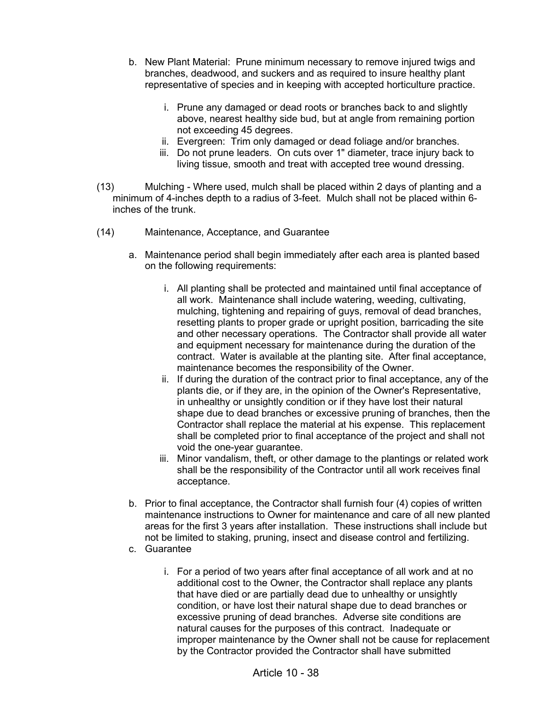- b. New Plant Material: Prune minimum necessary to remove injured twigs and branches, deadwood, and suckers and as required to insure healthy plant representative of species and in keeping with accepted horticulture practice.
	- i. Prune any damaged or dead roots or branches back to and slightly above, nearest healthy side bud, but at angle from remaining portion not exceeding 45 degrees.
	- ii. Evergreen: Trim only damaged or dead foliage and/or branches.
	- iii. Do not prune leaders. On cuts over 1" diameter, trace injury back to living tissue, smooth and treat with accepted tree wound dressing.
- (13) Mulching Where used, mulch shall be placed within 2 days of planting and a minimum of 4-inches depth to a radius of 3-feet. Mulch shall not be placed within 6 inches of the trunk.
- (14) Maintenance, Acceptance, and Guarantee
	- a. Maintenance period shall begin immediately after each area is planted based on the following requirements:
		- i. All planting shall be protected and maintained until final acceptance of all work. Maintenance shall include watering, weeding, cultivating, mulching, tightening and repairing of guys, removal of dead branches, resetting plants to proper grade or upright position, barricading the site and other necessary operations. The Contractor shall provide all water and equipment necessary for maintenance during the duration of the contract. Water is available at the planting site. After final acceptance, maintenance becomes the responsibility of the Owner.
		- ii. If during the duration of the contract prior to final acceptance, any of the plants die, or if they are, in the opinion of the Owner's Representative, in unhealthy or unsightly condition or if they have lost their natural shape due to dead branches or excessive pruning of branches, then the Contractor shall replace the material at his expense. This replacement shall be completed prior to final acceptance of the project and shall not void the one-year guarantee.
		- iii. Minor vandalism, theft, or other damage to the plantings or related work shall be the responsibility of the Contractor until all work receives final acceptance.
	- b. Prior to final acceptance, the Contractor shall furnish four (4) copies of written maintenance instructions to Owner for maintenance and care of all new planted areas for the first 3 years after installation. These instructions shall include but not be limited to staking, pruning, insect and disease control and fertilizing.
	- c. Guarantee
		- i. For a period of two years after final acceptance of all work and at no additional cost to the Owner, the Contractor shall replace any plants that have died or are partially dead due to unhealthy or unsightly condition, or have lost their natural shape due to dead branches or excessive pruning of dead branches. Adverse site conditions are natural causes for the purposes of this contract. Inadequate or improper maintenance by the Owner shall not be cause for replacement by the Contractor provided the Contractor shall have submitted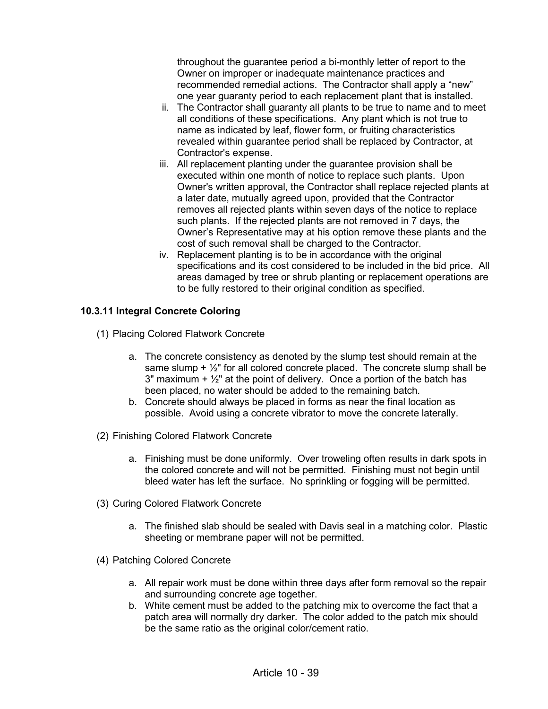throughout the guarantee period a bi-monthly letter of report to the Owner on improper or inadequate maintenance practices and recommended remedial actions. The Contractor shall apply a "new" one year guaranty period to each replacement plant that is installed.

- ii. The Contractor shall guaranty all plants to be true to name and to meet all conditions of these specifications. Any plant which is not true to name as indicated by leaf, flower form, or fruiting characteristics revealed within guarantee period shall be replaced by Contractor, at Contractor's expense.
- iii. All replacement planting under the guarantee provision shall be executed within one month of notice to replace such plants. Upon Owner's written approval, the Contractor shall replace rejected plants at a later date, mutually agreed upon, provided that the Contractor removes all rejected plants within seven days of the notice to replace such plants. If the rejected plants are not removed in 7 days, the Owner's Representative may at his option remove these plants and the cost of such removal shall be charged to the Contractor.
- iv. Replacement planting is to be in accordance with the original specifications and its cost considered to be included in the bid price. All areas damaged by tree or shrub planting or replacement operations are to be fully restored to their original condition as specified.

## **10.3.11 Integral Concrete Coloring**

- (1) Placing Colored Flatwork Concrete
	- a. The concrete consistency as denoted by the slump test should remain at the same slump  $+ ½$ " for all colored concrete placed. The concrete slump shall be 3" maximum  $+ ½"$  at the point of delivery. Once a portion of the batch has been placed, no water should be added to the remaining batch.
	- b. Concrete should always be placed in forms as near the final location as possible. Avoid using a concrete vibrator to move the concrete laterally.
- (2) Finishing Colored Flatwork Concrete
	- a. Finishing must be done uniformly. Over troweling often results in dark spots in the colored concrete and will not be permitted. Finishing must not begin until bleed water has left the surface. No sprinkling or fogging will be permitted.
- (3) Curing Colored Flatwork Concrete
	- a. The finished slab should be sealed with Davis seal in a matching color. Plastic sheeting or membrane paper will not be permitted.
- (4) Patching Colored Concrete
	- a. All repair work must be done within three days after form removal so the repair and surrounding concrete age together.
	- b. White cement must be added to the patching mix to overcome the fact that a patch area will normally dry darker. The color added to the patch mix should be the same ratio as the original color/cement ratio.